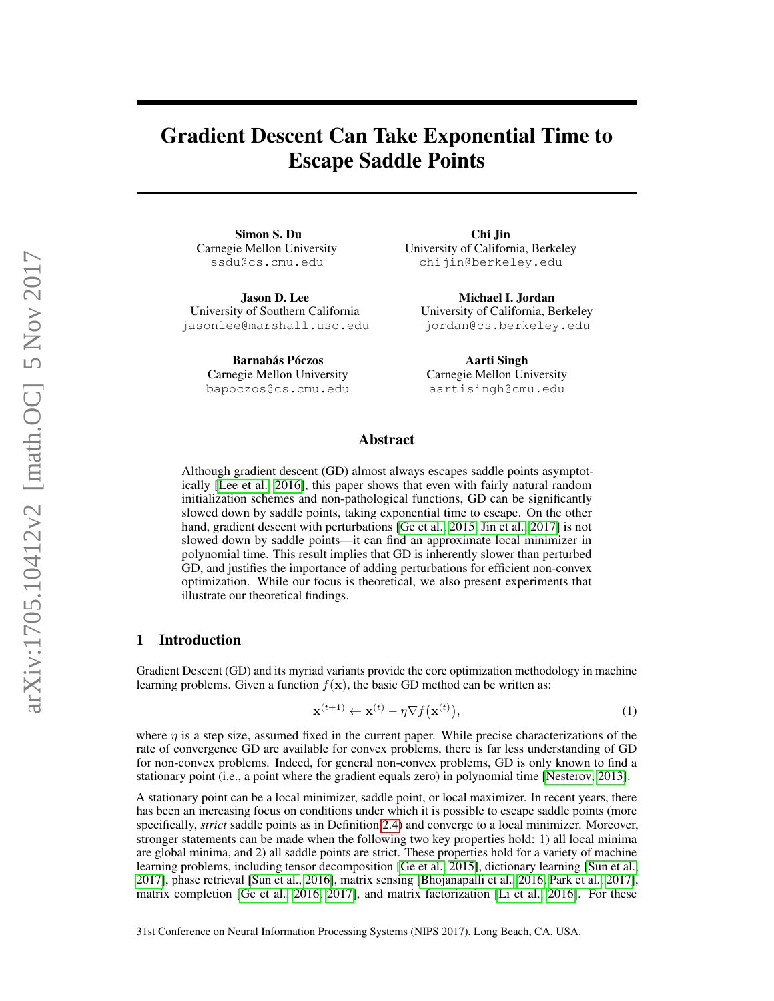# Gradient Descent Can Take Exponential Time to Escape Saddle Points

Simon S. Du Carnegie Mellon University ssdu@cs.cmu.edu

Jason D. Lee University of Southern California jasonlee@marshall.usc.edu

> Barnabás Póczos Carnegie Mellon University bapoczos@cs.cmu.edu

Chi Jin University of California, Berkeley chijin@berkeley.edu

Michael I. Jordan University of California, Berkeley jordan@cs.berkeley.edu

Aarti Singh Carnegie Mellon University aartisingh@cmu.edu

#### Abstract

Although gradient descent (GD) almost always escapes saddle points asymptotically [\[Lee et al., 2016\]](#page-9-0), this paper shows that even with fairly natural random initialization schemes and non-pathological functions, GD can be significantly slowed down by saddle points, taking exponential time to escape. On the other hand, gradient descent with perturbations [\[Ge et al., 2015,](#page-9-1) [Jin et al., 2017\]](#page-9-2) is not slowed down by saddle points—it can find an approximate local minimizer in polynomial time. This result implies that GD is inherently slower than perturbed GD, and justifies the importance of adding perturbations for efficient non-convex optimization. While our focus is theoretical, we also present experiments that illustrate our theoretical findings.

## <span id="page-0-0"></span>1 Introduction

Gradient Descent (GD) and its myriad variants provide the core optimization methodology in machine learning problems. Given a function  $f(x)$ , the basic GD method can be written as:

$$
\mathbf{x}^{(t+1)} \leftarrow \mathbf{x}^{(t)} - \eta \nabla f(\mathbf{x}^{(t)}),
$$
\n(1)

where  $\eta$  is a step size, assumed fixed in the current paper. While precise characterizations of the rate of convergence GD are available for convex problems, there is far less understanding of GD for non-convex problems. Indeed, for general non-convex problems, GD is only known to find a stationary point (i.e., a point where the gradient equals zero) in polynomial time [\[Nesterov, 2013\]](#page-9-3).

A stationary point can be a local minimizer, saddle point, or local maximizer. In recent years, there has been an increasing focus on conditions under which it is possible to escape saddle points (more specifically, *strict* saddle points as in Definition [2.4\)](#page-2-0) and converge to a local minimizer. Moreover, stronger statements can be made when the following two key properties hold: 1) all local minima are global minima, and 2) all saddle points are strict. These properties hold for a variety of machine learning problems, including tensor decomposition [\[Ge et al., 2015\]](#page-9-1), dictionary learning [\[Sun et al.,](#page-10-0) [2017\]](#page-10-0), phase retrieval [\[Sun et al., 2016\]](#page-9-4), matrix sensing [\[Bhojanapalli et al., 2016,](#page-8-0) [Park et al., 2017\]](#page-9-5), matrix completion [\[Ge et al., 2016,](#page-9-6) [2017\]](#page-9-7), and matrix factorization [\[Li et al., 2016\]](#page-9-8). For these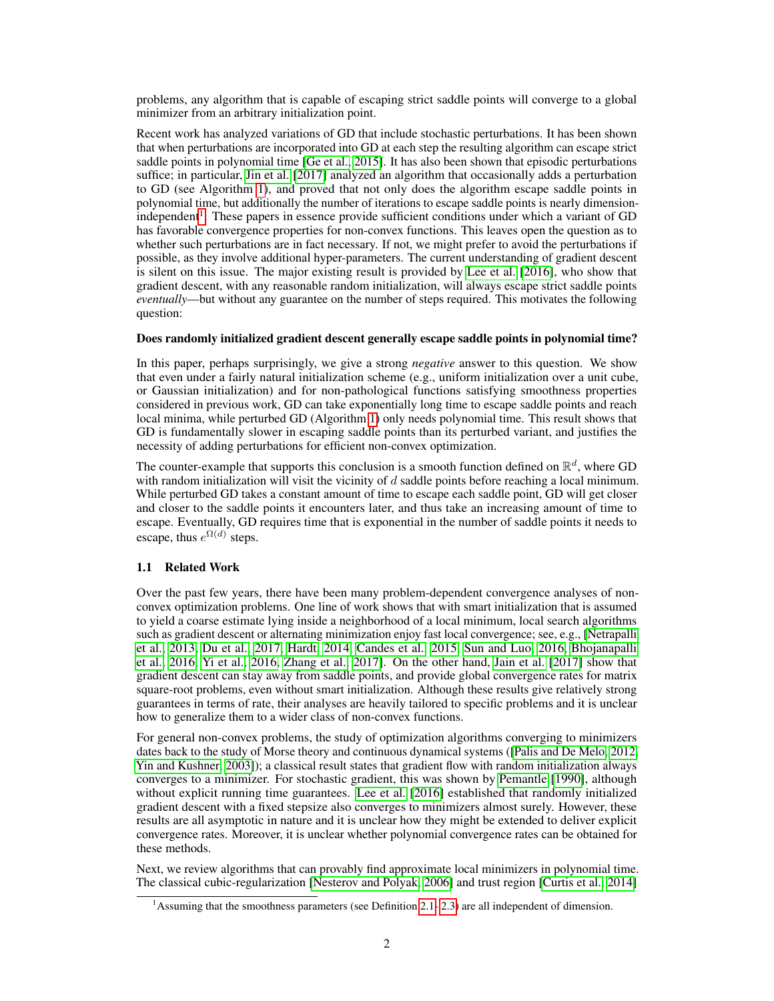problems, any algorithm that is capable of escaping strict saddle points will converge to a global minimizer from an arbitrary initialization point.

Recent work has analyzed variations of GD that include stochastic perturbations. It has been shown that when perturbations are incorporated into GD at each step the resulting algorithm can escape strict saddle points in polynomial time [\[Ge et al., 2015\]](#page-9-1). It has also been shown that episodic perturbations suffice; in particular, [Jin et al.](#page-9-2) [\[2017\]](#page-9-2) analyzed an algorithm that occasionally adds a perturbation to GD (see Algorithm [1\)](#page-3-0), and proved that not only does the algorithm escape saddle points in polynomial time, but additionally the number of iterations to escape saddle points is nearly dimension-independent<sup>[1](#page-1-0)</sup>. These papers in essence provide sufficient conditions under which a variant of GD has favorable convergence properties for non-convex functions. This leaves open the question as to whether such perturbations are in fact necessary. If not, we might prefer to avoid the perturbations if possible, as they involve additional hyper-parameters. The current understanding of gradient descent is silent on this issue. The major existing result is provided by [Lee et al.](#page-9-0) [\[2016\]](#page-9-0), who show that gradient descent, with any reasonable random initialization, will always escape strict saddle points *eventually*—but without any guarantee on the number of steps required. This motivates the following question:

### Does randomly initialized gradient descent generally escape saddle points in polynomial time?

In this paper, perhaps surprisingly, we give a strong *negative* answer to this question. We show that even under a fairly natural initialization scheme (e.g., uniform initialization over a unit cube, or Gaussian initialization) and for non-pathological functions satisfying smoothness properties considered in previous work, GD can take exponentially long time to escape saddle points and reach local minima, while perturbed GD (Algorithm [1\)](#page-3-0) only needs polynomial time. This result shows that GD is fundamentally slower in escaping saddle points than its perturbed variant, and justifies the necessity of adding perturbations for efficient non-convex optimization.

The counter-example that supports this conclusion is a smooth function defined on  $\mathbb{R}^d$ , where GD with random initialization will visit the vicinity of d saddle points before reaching a local minimum. While perturbed GD takes a constant amount of time to escape each saddle point, GD will get closer and closer to the saddle points it encounters later, and thus take an increasing amount of time to escape. Eventually, GD requires time that is exponential in the number of saddle points it needs to escape, thus  $e^{\Omega(d)}$  steps.

# 1.1 Related Work

Over the past few years, there have been many problem-dependent convergence analyses of nonconvex optimization problems. One line of work shows that with smart initialization that is assumed to yield a coarse estimate lying inside a neighborhood of a local minimum, local search algorithms such as gradient descent or alternating minimization enjoy fast local convergence; see, e.g., [\[Netrapalli](#page-9-9) [et al., 2013,](#page-9-9) [Du et al., 2017,](#page-9-10) [Hardt, 2014,](#page-9-11) [Candes et al., 2015,](#page-8-1) [Sun and Luo, 2016,](#page-10-1) [Bhojanapalli](#page-8-0) [et al., 2016,](#page-8-0) [Yi et al., 2016,](#page-10-2) [Zhang et al., 2017\]](#page-10-3). On the other hand, [Jain et al.](#page-9-12) [\[2017\]](#page-9-12) show that gradient descent can stay away from saddle points, and provide global convergence rates for matrix square-root problems, even without smart initialization. Although these results give relatively strong guarantees in terms of rate, their analyses are heavily tailored to specific problems and it is unclear how to generalize them to a wider class of non-convex functions.

For general non-convex problems, the study of optimization algorithms converging to minimizers dates back to the study of Morse theory and continuous dynamical systems ([\[Palis and De Melo, 2012,](#page-9-13) [Yin and Kushner, 2003\]](#page-10-4)); a classical result states that gradient flow with random initialization always converges to a minimizer. For stochastic gradient, this was shown by [Pemantle](#page-9-14) [\[1990\]](#page-9-14), although without explicit running time guarantees. [Lee et al.](#page-9-0) [\[2016\]](#page-9-0) established that randomly initialized gradient descent with a fixed stepsize also converges to minimizers almost surely. However, these results are all asymptotic in nature and it is unclear how they might be extended to deliver explicit convergence rates. Moreover, it is unclear whether polynomial convergence rates can be obtained for these methods.

Next, we review algorithms that can provably find approximate local minimizers in polynomial time. The classical cubic-regularization [\[Nesterov and Polyak, 2006\]](#page-9-15) and trust region [\[Curtis et al., 2014\]](#page-9-16)

<span id="page-1-0"></span><sup>&</sup>lt;sup>1</sup>Assuming that the smoothness parameters (see Definition [2.1-](#page-2-1)2.3) are all independent of dimension.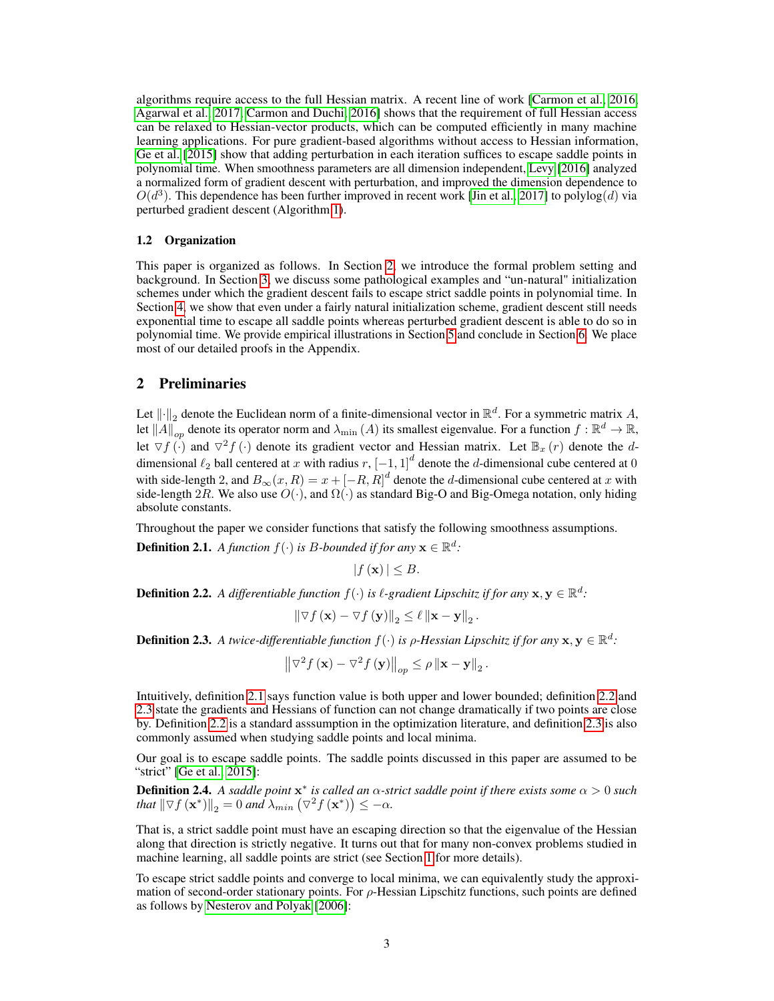algorithms require access to the full Hessian matrix. A recent line of work [\[Carmon et al., 2016,](#page-8-2) [Agarwal et al., 2017,](#page-8-3) [Carmon and Duchi, 2016\]](#page-8-4) shows that the requirement of full Hessian access can be relaxed to Hessian-vector products, which can be computed efficiently in many machine learning applications. For pure gradient-based algorithms without access to Hessian information, [Ge et al.](#page-9-1) [\[2015\]](#page-9-1) show that adding perturbation in each iteration suffices to escape saddle points in polynomial time. When smoothness parameters are all dimension independent, [Levy](#page-9-17) [\[2016\]](#page-9-17) analyzed a normalized form of gradient descent with perturbation, and improved the dimension dependence to  $O(d^3)$ . This dependence has been further improved in recent work [\[Jin et al., 2017\]](#page-9-2) to polylog(d) via perturbed gradient descent (Algorithm [1\)](#page-3-0).

#### 1.2 Organization

This paper is organized as follows. In Section [2,](#page-2-3) we introduce the formal problem setting and background. In Section [3,](#page-3-1) we discuss some pathological examples and "un-natural" initialization schemes under which the gradient descent fails to escape strict saddle points in polynomial time. In Section [4,](#page-5-0) we show that even under a fairly natural initialization scheme, gradient descent still needs exponential time to escape all saddle points whereas perturbed gradient descent is able to do so in polynomial time. We provide empirical illustrations in Section [5](#page-7-0) and conclude in Section [6.](#page-8-5) We place most of our detailed proofs in the Appendix.

## <span id="page-2-3"></span>2 Preliminaries

Let  $\|\cdot\|_2$  denote the Euclidean norm of a finite-dimensional vector in  $\mathbb{R}^d$ . For a symmetric matrix A, let  $||A||_{op}$  denote its operator norm and  $\lambda_{min}(A)$  its smallest eigenvalue. For a function  $f : \mathbb{R}^d \to \mathbb{R}$ , let  $\nabla f(\cdot)$  and  $\nabla^2 f(\cdot)$  denote its gradient vector and Hessian matrix. Let  $\mathbb{B}_x(r)$  denote the ddimensional  $\ell_2$  ball centered at x with radius  $r$ ,  $\left[-1, 1\right]^d$  denote the d-dimensional cube centered at 0 with side-length 2, and  $B_{\infty}(x,R) = x + [-R, R]^d$  denote the d-dimensional cube centered at x with side-length 2R. We also use  $O(\cdot)$ , and  $\Omega(\cdot)$  as standard Big-O and Big-Omega notation, only hiding absolute constants.

<span id="page-2-1"></span>Throughout the paper we consider functions that satisfy the following smoothness assumptions. **Definition 2.1.** A function  $f(\cdot)$  is B-bounded if for any  $\mathbf{x} \in \mathbb{R}^d$ :

 $|f(\mathbf{x})| \leq B.$ 

<span id="page-2-4"></span>**Definition 2.2.** A differentiable function  $f(\cdot)$  is  $\ell$ -gradient Lipschitz if for any  $\mathbf{x}, \mathbf{y} \in \mathbb{R}^d$ .

$$
\left\|\nabla f\left(\mathbf{x}\right)-\nabla f\left(\mathbf{y}\right)\right\|_2 \leq \ell \left\|\mathbf{x}-\mathbf{y}\right\|_2.
$$

<span id="page-2-2"></span>**Definition 2.3.** A twice-differentiable function  $f(\cdot)$  is  $\rho$ -Hessian Lipschitz if for any  $\mathbf{x}, \mathbf{y} \in \mathbb{R}^d$ :

$$
\left\|\nabla^2 f\left(\mathbf{x}\right) - \nabla^2 f\left(\mathbf{y}\right)\right\|_{op} \le \rho \left\|\mathbf{x} - \mathbf{y}\right\|_2.
$$

Intuitively, definition [2.1](#page-2-1) says function value is both upper and lower bounded; definition [2.2](#page-2-4) and [2.3](#page-2-2) state the gradients and Hessians of function can not change dramatically if two points are close by. Definition [2.2](#page-2-4) is a standard asssumption in the optimization literature, and definition [2.3](#page-2-2) is also commonly assumed when studying saddle points and local minima.

Our goal is to escape saddle points. The saddle points discussed in this paper are assumed to be "strict" [\[Ge et al., 2015\]](#page-9-1):

<span id="page-2-0"></span>**Definition 2.4.** A saddle point  $x^*$  is called an  $\alpha$ -strict saddle point if there exists some  $\alpha > 0$  such that  $\|\nabla f(\mathbf{x}^*)\|_2 = 0$  and  $\lambda_{min} (\nabla^2 f(\mathbf{x}^*)) \leq -\alpha$ .

That is, a strict saddle point must have an escaping direction so that the eigenvalue of the Hessian along that direction is strictly negative. It turns out that for many non-convex problems studied in machine learning, all saddle points are strict (see Section [1](#page-0-0) for more details).

To escape strict saddle points and converge to local minima, we can equivalently study the approximation of second-order stationary points. For  $\rho$ -Hessian Lipschitz functions, such points are defined as follows by [Nesterov and Polyak](#page-9-15) [\[2006\]](#page-9-15):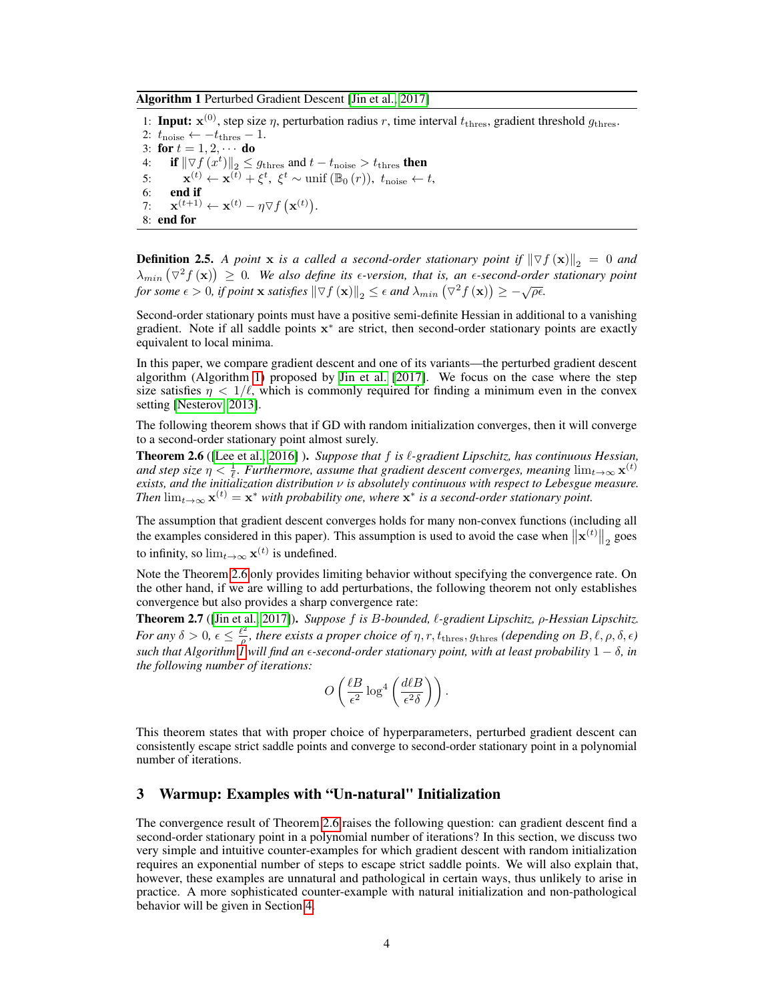<span id="page-3-0"></span>Algorithm 1 Perturbed Gradient Descent [\[Jin et al., 2017\]](#page-9-2)

1: Input:  $\mathbf{x}^{(0)}$ , step size  $\eta$ , perturbation radius r, time interval  $t_{\text{thres}}$ , gradient threshold  $g_{\text{thres}}$ . 2:  $t_{\text{noise}} \leftarrow -t_{\text{thres}} - 1$ . 3: for  $t = 1, 2, \cdots$  do 4: if  $\|\nabla f(x^t)\|_2 \leq g_{\text{thres}}$  and  $t - t_{\text{noise}} > t_{\text{thres}}$  then 5:  $\mathbf{x}^{(t)} \leftarrow \mathbf{x}^{(\bar{t})} + \xi^t$ ,  $\xi^t \sim \text{unif } (\mathbb{B}_0(r))$ ,  $t_{\text{noise}} \leftarrow t$ , 6: end if 7:  $\mathbf{x}^{(t+1)} \leftarrow \mathbf{x}^{(t)} - \eta \nabla f(\mathbf{x}^{(t)}).$ 8: end for

**Definition 2.5.** A point **x** is a called a second-order stationary point if  $\|\nabla f(\mathbf{x})\|_2 = 0$  and  $\lambda_{min} (\nabla^2 f(\mathbf{x})) \geq 0$ . We also define its *e*-version, that is, an *e*-second-order stationary point  $f(x) = \infty$ . We also define as  $\epsilon$  *c*ension, that is, an  $\epsilon$  second order for some  $\epsilon > 0$ , if point **x** *satisfies*  $\|\nabla f(\mathbf{x})\|_2 \leq \epsilon$  and  $\lambda_{min} (\nabla^2 f(\mathbf{x})) \geq -\sqrt{\rho \epsilon}$ .

Second-order stationary points must have a positive semi-definite Hessian in additional to a vanishing gradient. Note if all saddle points  $x^*$  are strict, then second-order stationary points are exactly equivalent to local minima.

In this paper, we compare gradient descent and one of its variants—the perturbed gradient descent algorithm (Algorithm [1\)](#page-3-0) proposed by [Jin et al.](#page-9-2) [\[2017\]](#page-9-2). We focus on the case where the step size satisfies  $\eta$  < 1/ $\ell$ , which is commonly required for finding a minimum even in the convex setting [\[Nesterov, 2013\]](#page-9-3).

The following theorem shows that if GD with random initialization converges, then it will converge to a second-order stationary point almost surely.

<span id="page-3-2"></span>Theorem 2.6 ([\[Lee et al., 2016\]](#page-9-0) ). *Suppose that* f *is* `*-gradient Lipschitz, has continuous Hessian,* and step size  $\eta < \frac{1}{\ell}$ . Furthermore, assume that gradient descent converges, meaning  $\lim_{t\to\infty} \mathbf{x}^{(t)}$ *exists, and the initialization distribution* ν *is absolutely continuous with respect to Lebesgue measure. Then*  $\lim_{t\to\infty} \mathbf{x}^{(t)} = \mathbf{x}^*$  *with probability one, where*  $\mathbf{x}^*$  *is a second-order stationary point.* 

The assumption that gradient descent converges holds for many non-convex functions (including all the examples considered in this paper). This assumption is used to avoid the case when  $\|\mathbf{x}^{(t)}\|_2$  goes to infinity, so  $\lim_{t\to\infty} \mathbf{x}^{(t)}$  is undefined.

Note the Theorem [2.6](#page-3-2) only provides limiting behavior without specifying the convergence rate. On the other hand, if we are willing to add perturbations, the following theorem not only establishes convergence but also provides a sharp convergence rate:

<span id="page-3-3"></span>Theorem 2.7 ([\[Jin et al., 2017\]](#page-9-2)). *Suppose* f *is* B*-bounded,* `*-gradient Lipschitz,* ρ*-Hessian Lipschitz. For any*  $\delta > 0$ ,  $\epsilon \leq \frac{\ell^2}{\epsilon^2}$  $\frac{g_{\mu}}{\rho}$ , there exists a proper choice of  $\eta$ ,  $r$ ,  $t_{\text{thres}}$ ,  $g_{\text{thres}}$  (depending on  $B$ ,  $\ell$ ,  $\rho$ ,  $\delta$ ,  $\epsilon$ ) *such that Algorithm [1](#page-3-0) will find an -second-order stationary point, with at least probability* 1 − δ*, in the following number of iterations:*

$$
O\left(\frac{\ell B}{\epsilon^2} \log^4\left(\frac{d\ell B}{\epsilon^2\delta}\right)\right).
$$

This theorem states that with proper choice of hyperparameters, perturbed gradient descent can consistently escape strict saddle points and converge to second-order stationary point in a polynomial number of iterations.

## <span id="page-3-1"></span>3 Warmup: Examples with "Un-natural" Initialization

The convergence result of Theorem [2.6](#page-3-2) raises the following question: can gradient descent find a second-order stationary point in a polynomial number of iterations? In this section, we discuss two very simple and intuitive counter-examples for which gradient descent with random initialization requires an exponential number of steps to escape strict saddle points. We will also explain that, however, these examples are unnatural and pathological in certain ways, thus unlikely to arise in practice. A more sophisticated counter-example with natural initialization and non-pathological behavior will be given in Section [4.](#page-5-0)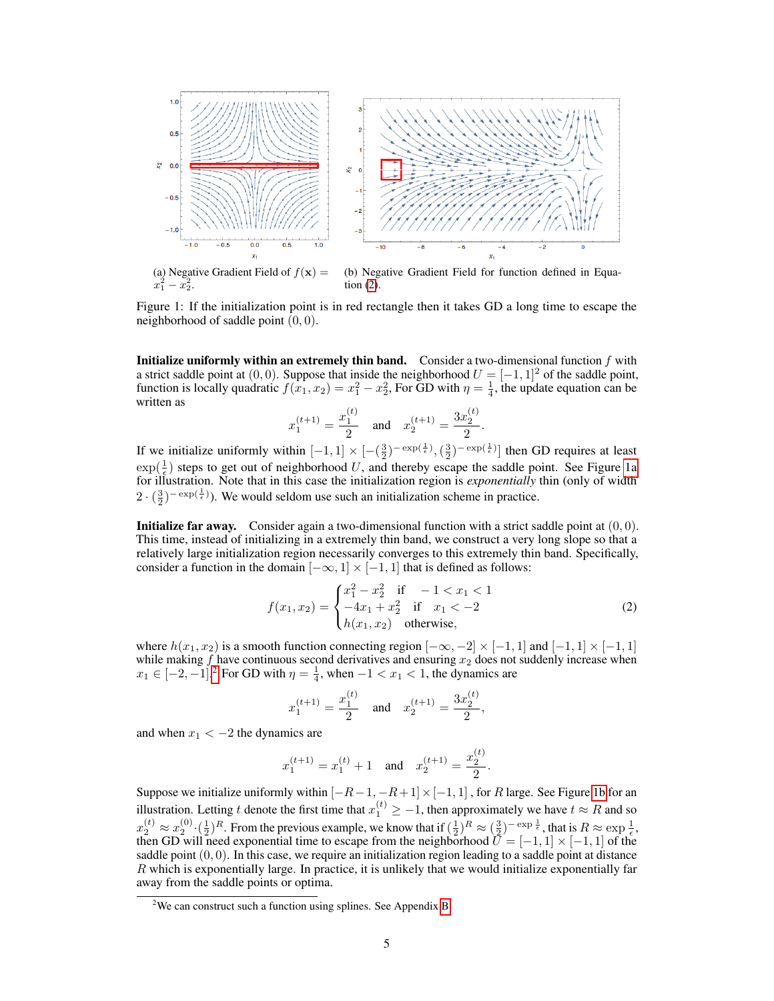<span id="page-4-1"></span>

(a) Negative Gradient Field of  $f(\mathbf{x}) =$  $x_1^2 - x_2^2$ . tion [\(2\)](#page-4-0).

(b) Negative Gradient Field for function defined in Equa-

Figure 1: If the initialization point is in red rectangle then it takes GD a long time to escape the neighborhood of saddle point  $(0, 0)$ .

**Initialize uniformly within an extremely thin band.** Consider a two-dimensional function  $f$  with a strict saddle point at  $(0, 0)$ . Suppose that inside the neighborhood  $U = [-1, 1]^2$  of the saddle point, function is locally quadratic  $f(x_1, x_2) = x_1^2 - x_2^2$ , For GD with  $\eta = \frac{1}{4}$ , the update equation can be written as

$$
x_1^{(t+1)} = \frac{x_1^{(t)}}{2}
$$
 and  $x_2^{(t+1)} = \frac{3x_2^{(t)}}{2}$ .

If we initialize uniformly within  $[-1, 1] \times [-(\frac{3}{2})^{-\exp(\frac{1}{\epsilon})}, (\frac{3}{2})^{-\exp(\frac{1}{\epsilon})}]$  then GD requires at least  $\exp(\frac{1}{\epsilon})$  steps to get out of neighborhood U, and thereby escape the saddle point. See Figure [1a](#page-4-1) for illustration. Note that in this case the initialization region is *exponentially* thin (only of width  $2 \cdot (\frac{3}{2})^{-\exp(\frac{1}{\epsilon})}$ ). We would seldom use such an initialization scheme in practice.

**Initialize far away.** Consider again a two-dimensional function with a strict saddle point at  $(0, 0)$ . This time, instead of initializing in a extremely thin band, we construct a very long slope so that a relatively large initialization region necessarily converges to this extremely thin band. Specifically, consider a function in the domain  $[-\infty, 1] \times [-1, 1]$  that is defined as follows:

$$
f(x_1, x_2) = \begin{cases} x_1^2 - x_2^2 & \text{if } -1 < x_1 < 1\\ -4x_1 + x_2^2 & \text{if } x_1 < -2\\ h(x_1, x_2) & \text{otherwise,} \end{cases} \tag{2}
$$

<span id="page-4-0"></span> $\sim$ 

where  $h(x_1, x_2)$  is a smooth function connecting region  $[-\infty, -2] \times [-1, 1]$  and  $[-1, 1] \times [-1, 1]$ while making  $f$  have continuous second derivatives and ensuring  $x_2$  does not suddenly increase when  $x_1 \in [-2, -1]$  $x_1 \in [-2, -1]$  $x_1 \in [-2, -1]$ .<sup>2</sup> For GD with  $\eta = \frac{1}{4}$ , when  $-1 < x_1 < 1$ , the dynamics are

$$
x_1^{(t+1)} = \frac{x_1^{(t)}}{2}
$$
 and  $x_2^{(t+1)} = \frac{3x_2^{(t)}}{2}$ ,

and when  $x_1 < -2$  the dynamics are

$$
x_1^{(t+1)} = x_1^{(t)} + 1
$$
 and  $x_2^{(t+1)} = \frac{x_2^{(t)}}{2}$ .

Suppose we initialize uniformly within  $[-R-1, -R+1] \times [-1, 1]$ , for R large. See Figure [1b](#page-4-1) for an illustration. Letting t denote the first time that  $x_1^{(t)} \ge -1$ , then approximately we have  $t \approx R$  and so  $x_2^{(t)} \approx x_2^{(0)} \cdot (\frac{1}{2})^R$ . From the previous example, we know that if  $(\frac{1}{2})^R \approx (\frac{3}{2})^{-\exp{\frac{1}{\epsilon}}}$ , that is  $R \approx \exp{\frac{1}{\epsilon}}$ , then GD will need exponential time to escape from the neighborhood  $\bar{U} = [-1, 1] \times [-1, 1]$  of the saddle point  $(0, 0)$ . In this case, we require an initialization region leading to a saddle point at distance R which is exponentially large. In practice, it is unlikely that we would initialize exponentially far away from the saddle points or optima.

<span id="page-4-2"></span> $2$ We can construct such a function using splines. See Appendix [B.](#page-16-0)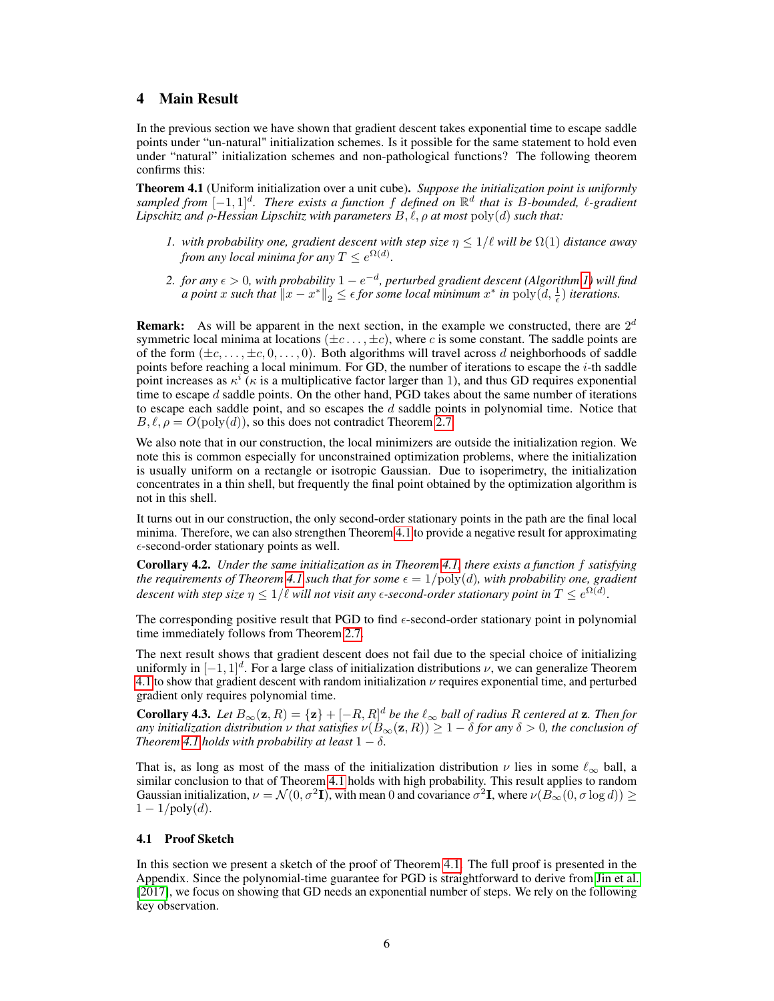# <span id="page-5-0"></span>4 Main Result

In the previous section we have shown that gradient descent takes exponential time to escape saddle points under "un-natural" initialization schemes. Is it possible for the same statement to hold even under "natural" initialization schemes and non-pathological functions? The following theorem confirms this:

<span id="page-5-1"></span>Theorem 4.1 (Uniform initialization over a unit cube). *Suppose the initialization point is uniformly sampled from* [−1, 1]<sup>d</sup> *. There exists a function* f *defined on* R d *that is* B*-bounded,* `*-gradient Lipschitz and*  $\rho$ *-Hessian Lipschitz with parameters*  $B, \ell, \rho$  *at most*  $\text{poly}(d)$  *such that:* 

- *1. with probability one, gradient descent with step size*  $\eta \leq 1/\ell$  *will be*  $\Omega(1)$  *distance away from any local minima for any*  $T \leq e^{\Omega(d)}$ .
- *2. for any*  $\epsilon$  > 0, with probability 1 −  $e^{-d}$ , perturbed gradient descent (Algorithm [1\)](#page-3-0) will find *a point* x such that  $||x - x^*||_2 \le \epsilon$  for some local minimum  $x^*$  in  $\text{poly}(d, \frac{1}{\epsilon})$  iterations.

**Remark:** As will be apparent in the next section, in the example we constructed, there are  $2^d$ symmetric local minima at locations  $(\pm c \dots, \pm c)$ , where c is some constant. The saddle points are of the form  $(\pm c, \dots, \pm c, 0, \dots, 0)$ . Both algorithms will travel across d neighborhoods of saddle points before reaching a local minimum. For GD, the number of iterations to escape the *i*-th saddle point increases as  $\kappa^i$  ( $\kappa$  is a multiplicative factor larger than 1), and thus GD requires exponential time to escape  $d$  saddle points. On the other hand, PGD takes about the same number of iterations to escape each saddle point, and so escapes the  $d$  saddle points in polynomial time. Notice that  $B, \ell, \rho = O(\text{poly}(d))$ , so this does not contradict Theorem [2.7.](#page-3-3)

We also note that in our construction, the local minimizers are outside the initialization region. We note this is common especially for unconstrained optimization problems, where the initialization is usually uniform on a rectangle or isotropic Gaussian. Due to isoperimetry, the initialization concentrates in a thin shell, but frequently the final point obtained by the optimization algorithm is not in this shell.

It turns out in our construction, the only second-order stationary points in the path are the final local minima. Therefore, we can also strengthen Theorem [4.1](#page-5-1) to provide a negative result for approximating  $\epsilon$ -second-order stationary points as well.

<span id="page-5-4"></span>Corollary 4.2. *Under the same initialization as in Theorem [4.1,](#page-5-1) there exists a function* f *satisfying the requirements of Theorem* [4.1](#page-5-1) *such that for some*  $\epsilon = 1/\text{poly}(d)$ *, with probability one, gradient* descent with step size  $\eta \leq 1/\ell$  will not visit any  $\epsilon$ -second-order stationary point in  $T \leq e^{\Omega(d)}.$ 

The corresponding positive result that PGD to find  $\epsilon$ -second-order stationary point in polynomial time immediately follows from Theorem [2.7.](#page-3-3)

The next result shows that gradient descent does not fail due to the special choice of initializing uniformly in  $[-1, 1]^d$ . For a large class of initialization distributions  $\nu$ , we can generalize Theorem [4.1](#page-5-1) to show that gradient descent with random initialization  $\nu$  requires exponential time, and perturbed gradient only requires polynomial time.

<span id="page-5-3"></span>**Corollary 4.3.** Let  $B_{\infty}(\mathbf{z}, R) = {\mathbf{z}} + [-R, R]^d$  be the  $\ell_{\infty}$  ball of radius R centered at  $\mathbf{z}$ . Then for *any initialization distribution*  $\nu$  *that satisfies*  $\nu(B_\infty(\mathbf{z}, R)) \geq 1 - \delta$  *for any*  $\delta > 0$ *, the conclusion of Theorem* [4.1](#page-5-1) *holds with probability at least*  $1 - \delta$ *.* 

That is, as long as most of the mass of the initialization distribution  $\nu$  lies in some  $\ell_{\infty}$  ball, a similar conclusion to that of Theorem [4.1](#page-5-1) holds with high probability. This result applies to random Gaussian initialization,  $\nu = \mathcal{N}(0, \sigma^2 \mathbf{I})$ , with mean 0 and covariance  $\sigma^2 \mathbf{I}$ , where  $\nu(B_\infty(0, \sigma \log d)) \geq$  $1 - 1/\text{poly}(d)$ .

#### <span id="page-5-2"></span>4.1 Proof Sketch

In this section we present a sketch of the proof of Theorem [4.1.](#page-5-1) The full proof is presented in the Appendix. Since the polynomial-time guarantee for PGD is straightforward to derive from [Jin et al.](#page-9-2) [\[2017\]](#page-9-2), we focus on showing that GD needs an exponential number of steps. We rely on the following key observation.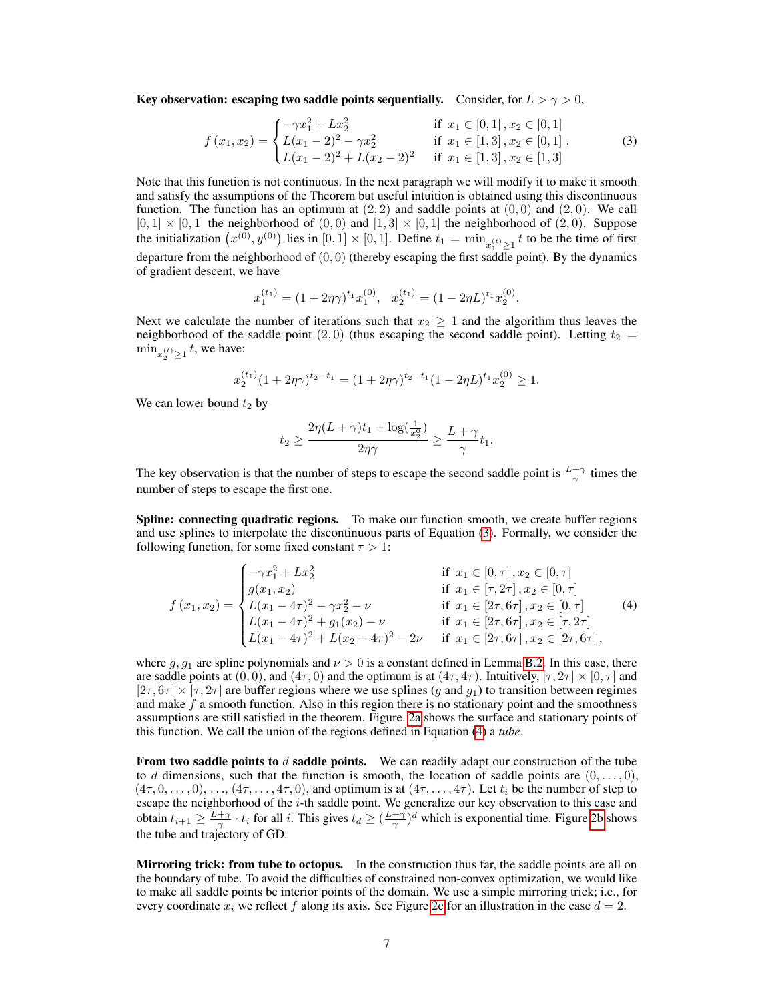Key observation: escaping two saddle points sequentially. Consider, for  $L > \gamma > 0$ ,

$$
f(x_1, x_2) = \begin{cases} -\gamma x_1^2 + Lx_2^2 & \text{if } x_1 \in [0, 1], x_2 \in [0, 1] \\ L(x_1 - 2)^2 - \gamma x_2^2 & \text{if } x_1 \in [1, 3], x_2 \in [0, 1] \\ L(x_1 - 2)^2 + L(x_2 - 2)^2 & \text{if } x_1 \in [1, 3], x_2 \in [1, 3] \end{cases}
$$
(3)

Note that this function is not continuous. In the next paragraph we will modify it to make it smooth and satisfy the assumptions of the Theorem but useful intuition is obtained using this discontinuous function. The function has an optimum at  $(2, 2)$  and saddle points at  $(0, 0)$  and  $(2, 0)$ . We call  $[0, 1] \times [0, 1]$  the neighborhood of  $(0, 0)$  and  $[1, 3] \times [0, 1]$  the neighborhood of  $(2, 0)$ . Suppose the initialization  $(x^{(0)}, y^{(0)})$  lies in  $[0, 1] \times [0, 1]$ . Define  $t_1 = \min_{x_1^{(t)} \ge 1} t$  to be the time of first departure from the neighborhood of  $(0, 0)$  (thereby escaping the first saddle point). By the dynamics of gradient descent, we have

<span id="page-6-0"></span>
$$
x_1^{(t_1)} = (1 + 2\eta\gamma)^{t_1} x_1^{(0)}, \quad x_2^{(t_1)} = (1 - 2\eta L)^{t_1} x_2^{(0)}.
$$

Next we calculate the number of iterations such that  $x_2 \geq 1$  and the algorithm thus leaves the neighborhood of the saddle point  $(2, 0)$  (thus escaping the second saddle point). Letting  $t_2$  =  $\min_{x_2^{(t)} \geq 1} t$ , we have:

$$
x_2^{(t_1)}(1+2\eta\gamma)^{t_2-t_1} = (1+2\eta\gamma)^{t_2-t_1}(1-2\eta L)^{t_1}x_2^{(0)} \ge 1.
$$

We can lower bound  $t_2$  by

<span id="page-6-1"></span>
$$
t_2 \geq \frac{2\eta (L+\gamma) t_1 + \log (\frac{1}{x_2^0})}{2\eta \gamma} \geq \frac{L+\gamma}{\gamma} t_1.
$$

The key observation is that the number of steps to escape the second saddle point is  $\frac{L+\gamma}{\gamma}$  times the number of steps to escape the first one.

Spline: connecting quadratic regions. To make our function smooth, we create buffer regions and use splines to interpolate the discontinuous parts of Equation [\(3\)](#page-6-0). Formally, we consider the following function, for some fixed constant  $\tau > 1$ :

$$
f(x_1, x_2) = \begin{cases}\n-\gamma x_1^2 + Lx_2^2 & \text{if } x_1 \in [0, \tau], x_2 \in [0, \tau] \\
g(x_1, x_2) & \text{if } x_1 \in [\tau, 2\tau], x_2 \in [0, \tau] \\
L(x_1 - 4\tau)^2 - \gamma x_2^2 - \nu & \text{if } x_1 \in [2\tau, 6\tau], x_2 \in [0, \tau] \\
L(x_1 - 4\tau)^2 + g_1(x_2) - \nu & \text{if } x_1 \in [2\tau, 6\tau], x_2 \in [\tau, 2\tau] \\
L(x_1 - 4\tau)^2 + L(x_2 - 4\tau)^2 - 2\nu & \text{if } x_1 \in [2\tau, 6\tau], x_2 \in [2\tau, 6\tau],\n\end{cases}
$$
\n(4)

where g,  $g_1$  are spline polynomials and  $\nu > 0$  is a constant defined in Lemma [B.2.](#page-17-0) In this case, there are saddle points at  $(0, 0)$ , and  $(4\tau, 0)$  and the optimum is at  $(4\tau, 4\tau)$ . Intuitively,  $[\tau, 2\tau] \times [0, \tau]$  and  $[2\tau, 6\tau] \times [\tau, 2\tau]$  are buffer regions where we use splines  $(q$  and  $q_1)$  to transition between regimes and make  $f$  a smooth function. Also in this region there is no stationary point and the smoothness assumptions are still satisfied in the theorem. Figure. [2a](#page-7-1) shows the surface and stationary points of this function. We call the union of the regions defined in Equation [\(4\)](#page-6-1) a *tube*.

From two saddle points to  $d$  saddle points. We can readily adapt our construction of the tube to d dimensions, such that the function is smooth, the location of saddle points are  $(0, \ldots, 0)$ ,  $(4\tau, 0, \ldots, 0), \ldots, (4\tau, \ldots, 4\tau, 0)$ , and optimum is at  $(4\tau, \ldots, 4\tau)$ . Let  $t_i$  be the number of step to escape the neighborhood of the i-th saddle point. We generalize our key observation to this case and obtain  $t_{i+1} \geq \frac{L+\gamma}{\gamma} \cdot t_i$  for all i. This gives  $t_d \geq (\frac{L+\gamma}{\gamma})^d$  which is exponential time. Figure [2b](#page-7-1) shows the tube and trajectory of GD.

Mirroring trick: from tube to octopus. In the construction thus far, the saddle points are all on the boundary of tube. To avoid the difficulties of constrained non-convex optimization, we would like to make all saddle points be interior points of the domain. We use a simple mirroring trick; i.e., for every coordinate  $x_i$  we reflect f along its axis. See Figure [2c](#page-7-1) for an illustration in the case  $d = 2$ .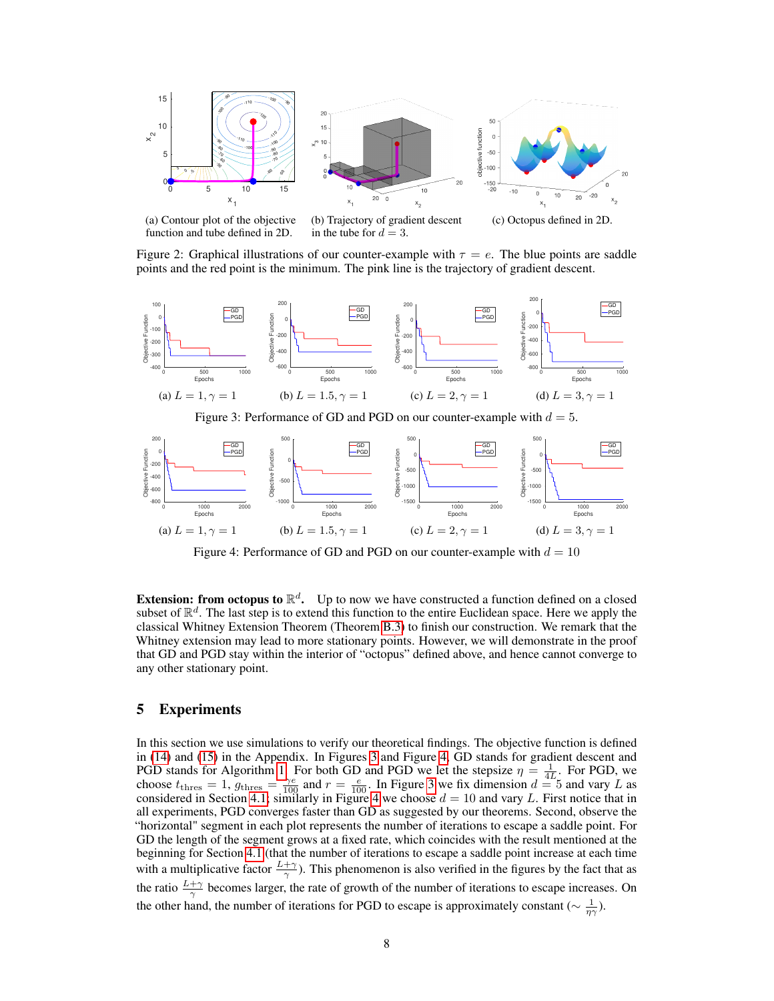<span id="page-7-1"></span>

function and tube defined in 2D. in the tube for  $d = 3$ . Figure 2: Graphical illustrations of our counter-example with  $\tau = e$ . The blue points are saddle

points and the red point is the minimum. The pink line is the trajectory of gradient descent.

<span id="page-7-2"></span>

(a)  $L = 1, \gamma = 1$ (b)  $L = 1.5, \gamma = 1$ (c)  $L = 2, \gamma = 1$ (d)  $L = 3, \gamma = 1$ 

Figure 4: Performance of GD and PGD on our counter-example with  $d = 10$ 

**Extension: from octopus to**  $\mathbb{R}^d$ **.** Up to now we have constructed a function defined on a closed subset of  $\mathbb{R}^d$ . The last step is to extend this function to the entire Euclidean space. Here we apply the classical Whitney Extension Theorem (Theorem [B.3\)](#page-18-0) to finish our construction. We remark that the Whitney extension may lead to more stationary points. However, we will demonstrate in the proof that GD and PGD stay within the interior of "octopus" defined above, and hence cannot converge to any other stationary point.

# <span id="page-7-0"></span>5 Experiments

In this section we use simulations to verify our theoretical findings. The objective function is defined in [\(14\)](#page-14-0) and [\(15\)](#page-14-1) in the Appendix. In Figures [3](#page-7-2) and Figure [4,](#page-7-2) GD stands for gradient descent and PGD stands for Algorithm [1.](#page-3-0) For both GD and PGD we let the stepsize  $\eta = \frac{1}{4L}$ . For PGD, we choose  $t_{\text{thres}} = 1$ ,  $g_{\text{thres}} = \frac{\gamma e}{100}$  and  $r = \frac{e}{100}$ . In Figure [3](#page-7-2) we fix dimension  $d = 5$  and vary L as considered in Section [4.1;](#page-5-2) similarly in Figure [4](#page-7-2) we choose  $d = 10$  and vary L. First notice that in all experiments, PGD converges faster than GD as suggested by our theorems. Second, observe the "horizontal" segment in each plot represents the number of iterations to escape a saddle point. For GD the length of the segment grows at a fixed rate, which coincides with the result mentioned at the beginning for Section [4.1](#page-5-2) (that the number of iterations to escape a saddle point increase at each time with a multiplicative factor  $\frac{L+\gamma}{\gamma}$ ). This phenomenon is also verified in the figures by the fact that as the ratio  $\frac{L+\gamma}{\gamma}$  becomes larger, the rate of growth of the number of iterations to escape increases. On the other hand, the number of iterations for PGD to escape is approximately constant ( $\sim \frac{1}{\eta \gamma}$ ).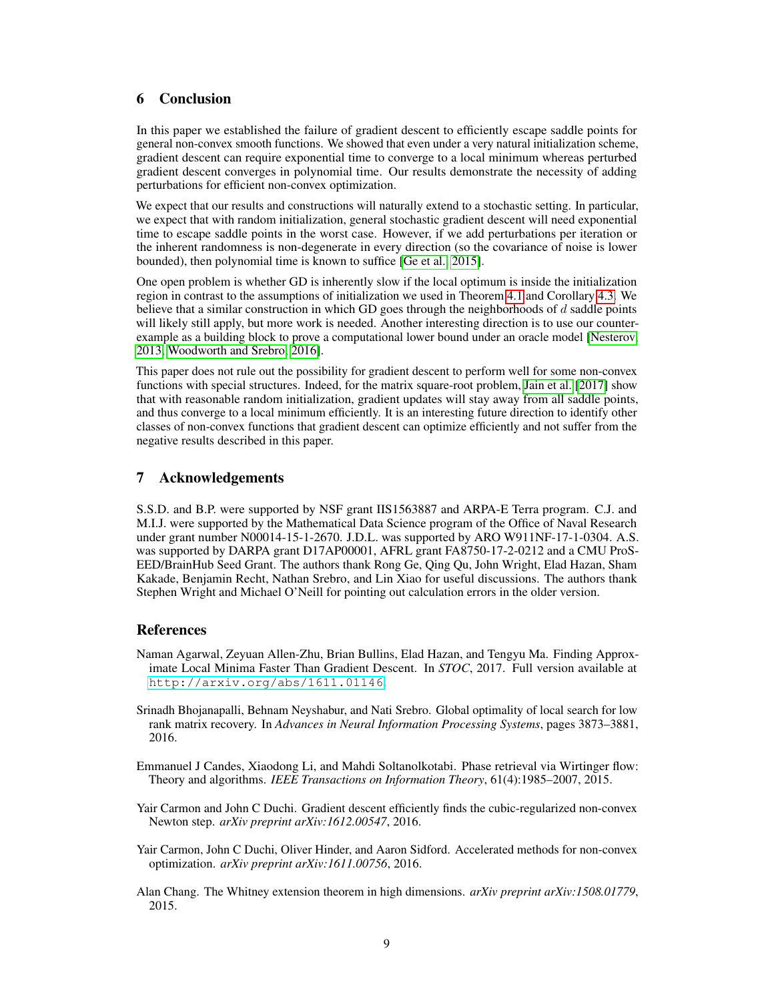# <span id="page-8-5"></span>6 Conclusion

In this paper we established the failure of gradient descent to efficiently escape saddle points for general non-convex smooth functions. We showed that even under a very natural initialization scheme, gradient descent can require exponential time to converge to a local minimum whereas perturbed gradient descent converges in polynomial time. Our results demonstrate the necessity of adding perturbations for efficient non-convex optimization.

We expect that our results and constructions will naturally extend to a stochastic setting. In particular, we expect that with random initialization, general stochastic gradient descent will need exponential time to escape saddle points in the worst case. However, if we add perturbations per iteration or the inherent randomness is non-degenerate in every direction (so the covariance of noise is lower bounded), then polynomial time is known to suffice [\[Ge et al., 2015\]](#page-9-1).

One open problem is whether GD is inherently slow if the local optimum is inside the initialization region in contrast to the assumptions of initialization we used in Theorem [4.1](#page-5-1) and Corollary [4.3.](#page-5-3) We believe that a similar construction in which GD goes through the neighborhoods of  $d$  saddle points will likely still apply, but more work is needed. Another interesting direction is to use our counterexample as a building block to prove a computational lower bound under an oracle model [\[Nesterov,](#page-9-3) [2013,](#page-9-3) [Woodworth and Srebro, 2016\]](#page-10-5).

This paper does not rule out the possibility for gradient descent to perform well for some non-convex functions with special structures. Indeed, for the matrix square-root problem, [Jain et al.](#page-9-12) [\[2017\]](#page-9-12) show that with reasonable random initialization, gradient updates will stay away from all saddle points, and thus converge to a local minimum efficiently. It is an interesting future direction to identify other classes of non-convex functions that gradient descent can optimize efficiently and not suffer from the negative results described in this paper.

# 7 Acknowledgements

S.S.D. and B.P. were supported by NSF grant IIS1563887 and ARPA-E Terra program. C.J. and M.I.J. were supported by the Mathematical Data Science program of the Office of Naval Research under grant number N00014-15-1-2670. J.D.L. was supported by ARO W911NF-17-1-0304. A.S. was supported by DARPA grant D17AP00001, AFRL grant FA8750-17-2-0212 and a CMU ProS-EED/BrainHub Seed Grant. The authors thank Rong Ge, Qing Qu, John Wright, Elad Hazan, Sham Kakade, Benjamin Recht, Nathan Srebro, and Lin Xiao for useful discussions. The authors thank Stephen Wright and Michael O'Neill for pointing out calculation errors in the older version.

# References

- <span id="page-8-3"></span>Naman Agarwal, Zeyuan Allen-Zhu, Brian Bullins, Elad Hazan, and Tengyu Ma. Finding Approximate Local Minima Faster Than Gradient Descent. In *STOC*, 2017. Full version available at <http://arxiv.org/abs/1611.01146>.
- <span id="page-8-0"></span>Srinadh Bhojanapalli, Behnam Neyshabur, and Nati Srebro. Global optimality of local search for low rank matrix recovery. In *Advances in Neural Information Processing Systems*, pages 3873–3881, 2016.
- <span id="page-8-1"></span>Emmanuel J Candes, Xiaodong Li, and Mahdi Soltanolkotabi. Phase retrieval via Wirtinger flow: Theory and algorithms. *IEEE Transactions on Information Theory*, 61(4):1985–2007, 2015.
- <span id="page-8-4"></span>Yair Carmon and John C Duchi. Gradient descent efficiently finds the cubic-regularized non-convex Newton step. *arXiv preprint arXiv:1612.00547*, 2016.
- <span id="page-8-2"></span>Yair Carmon, John C Duchi, Oliver Hinder, and Aaron Sidford. Accelerated methods for non-convex optimization. *arXiv preprint arXiv:1611.00756*, 2016.
- <span id="page-8-6"></span>Alan Chang. The Whitney extension theorem in high dimensions. *arXiv preprint arXiv:1508.01779*, 2015.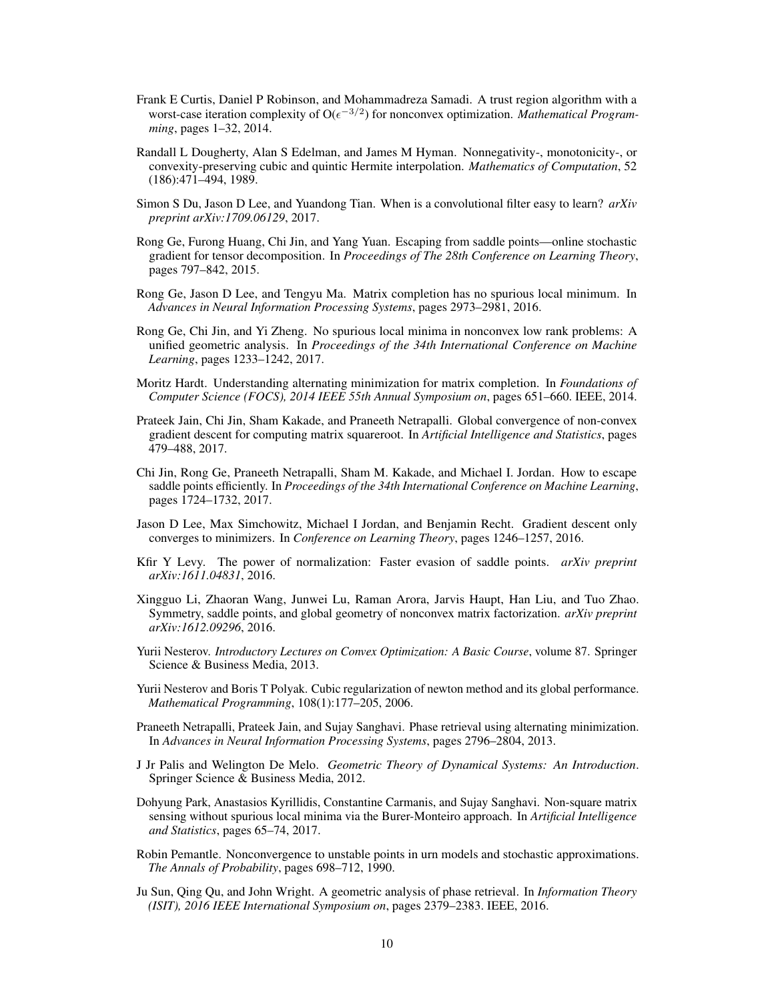- <span id="page-9-16"></span>Frank E Curtis, Daniel P Robinson, and Mohammadreza Samadi. A trust region algorithm with a worst-case iteration complexity of  $O(\epsilon^{-3/2})$  for nonconvex optimization. *Mathematical Programming*, pages 1–32, 2014.
- <span id="page-9-18"></span>Randall L Dougherty, Alan S Edelman, and James M Hyman. Nonnegativity-, monotonicity-, or convexity-preserving cubic and quintic Hermite interpolation. *Mathematics of Computation*, 52 (186):471–494, 1989.
- <span id="page-9-10"></span>Simon S Du, Jason D Lee, and Yuandong Tian. When is a convolutional filter easy to learn? *arXiv preprint arXiv:1709.06129*, 2017.
- <span id="page-9-1"></span>Rong Ge, Furong Huang, Chi Jin, and Yang Yuan. Escaping from saddle points—online stochastic gradient for tensor decomposition. In *Proceedings of The 28th Conference on Learning Theory*, pages 797–842, 2015.
- <span id="page-9-6"></span>Rong Ge, Jason D Lee, and Tengyu Ma. Matrix completion has no spurious local minimum. In *Advances in Neural Information Processing Systems*, pages 2973–2981, 2016.
- <span id="page-9-7"></span>Rong Ge, Chi Jin, and Yi Zheng. No spurious local minima in nonconvex low rank problems: A unified geometric analysis. In *Proceedings of the 34th International Conference on Machine Learning*, pages 1233–1242, 2017.
- <span id="page-9-11"></span>Moritz Hardt. Understanding alternating minimization for matrix completion. In *Foundations of Computer Science (FOCS), 2014 IEEE 55th Annual Symposium on*, pages 651–660. IEEE, 2014.
- <span id="page-9-12"></span>Prateek Jain, Chi Jin, Sham Kakade, and Praneeth Netrapalli. Global convergence of non-convex gradient descent for computing matrix squareroot. In *Artificial Intelligence and Statistics*, pages 479–488, 2017.
- <span id="page-9-2"></span>Chi Jin, Rong Ge, Praneeth Netrapalli, Sham M. Kakade, and Michael I. Jordan. How to escape saddle points efficiently. In *Proceedings of the 34th International Conference on Machine Learning*, pages 1724–1732, 2017.
- <span id="page-9-0"></span>Jason D Lee, Max Simchowitz, Michael I Jordan, and Benjamin Recht. Gradient descent only converges to minimizers. In *Conference on Learning Theory*, pages 1246–1257, 2016.
- <span id="page-9-17"></span>Kfir Y Levy. The power of normalization: Faster evasion of saddle points. *arXiv preprint arXiv:1611.04831*, 2016.
- <span id="page-9-8"></span>Xingguo Li, Zhaoran Wang, Junwei Lu, Raman Arora, Jarvis Haupt, Han Liu, and Tuo Zhao. Symmetry, saddle points, and global geometry of nonconvex matrix factorization. *arXiv preprint arXiv:1612.09296*, 2016.
- <span id="page-9-3"></span>Yurii Nesterov. *Introductory Lectures on Convex Optimization: A Basic Course*, volume 87. Springer Science & Business Media, 2013.
- <span id="page-9-15"></span>Yurii Nesterov and Boris T Polyak. Cubic regularization of newton method and its global performance. *Mathematical Programming*, 108(1):177–205, 2006.
- <span id="page-9-9"></span>Praneeth Netrapalli, Prateek Jain, and Sujay Sanghavi. Phase retrieval using alternating minimization. In *Advances in Neural Information Processing Systems*, pages 2796–2804, 2013.
- <span id="page-9-13"></span>J Jr Palis and Welington De Melo. *Geometric Theory of Dynamical Systems: An Introduction*. Springer Science & Business Media, 2012.
- <span id="page-9-5"></span>Dohyung Park, Anastasios Kyrillidis, Constantine Carmanis, and Sujay Sanghavi. Non-square matrix sensing without spurious local minima via the Burer-Monteiro approach. In *Artificial Intelligence and Statistics*, pages 65–74, 2017.
- <span id="page-9-14"></span>Robin Pemantle. Nonconvergence to unstable points in urn models and stochastic approximations. *The Annals of Probability*, pages 698–712, 1990.
- <span id="page-9-4"></span>Ju Sun, Qing Qu, and John Wright. A geometric analysis of phase retrieval. In *Information Theory (ISIT), 2016 IEEE International Symposium on*, pages 2379–2383. IEEE, 2016.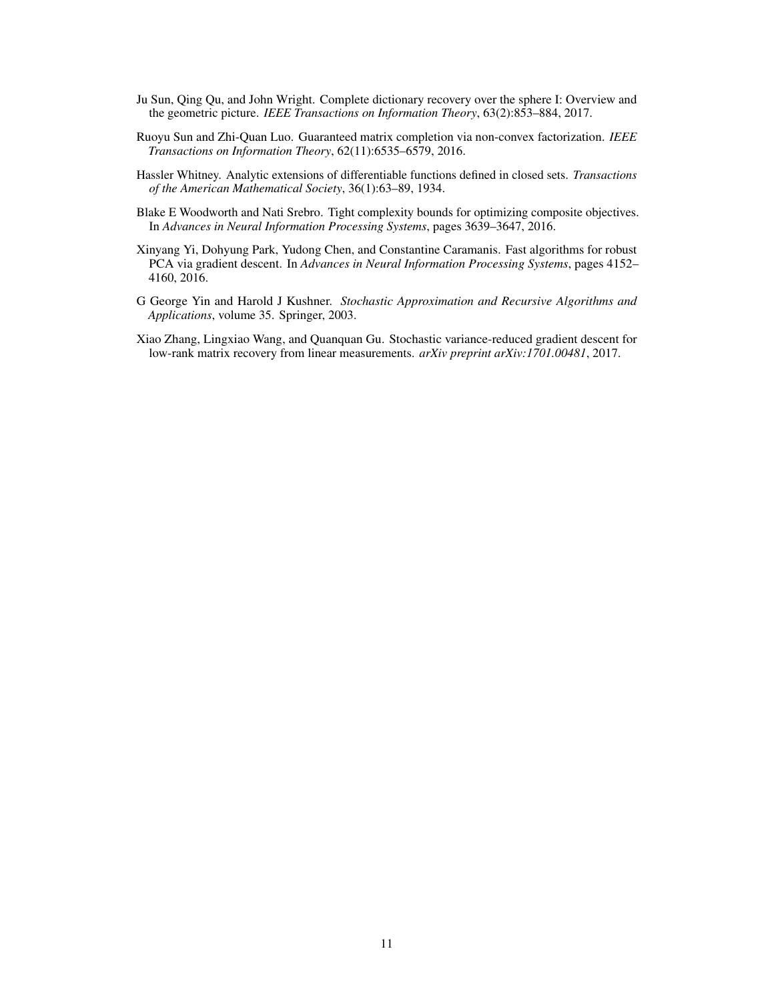- <span id="page-10-0"></span>Ju Sun, Qing Qu, and John Wright. Complete dictionary recovery over the sphere I: Overview and the geometric picture. *IEEE Transactions on Information Theory*, 63(2):853–884, 2017.
- <span id="page-10-1"></span>Ruoyu Sun and Zhi-Quan Luo. Guaranteed matrix completion via non-convex factorization. *IEEE Transactions on Information Theory*, 62(11):6535–6579, 2016.
- <span id="page-10-6"></span>Hassler Whitney. Analytic extensions of differentiable functions defined in closed sets. *Transactions of the American Mathematical Society*, 36(1):63–89, 1934.
- <span id="page-10-5"></span>Blake E Woodworth and Nati Srebro. Tight complexity bounds for optimizing composite objectives. In *Advances in Neural Information Processing Systems*, pages 3639–3647, 2016.
- <span id="page-10-2"></span>Xinyang Yi, Dohyung Park, Yudong Chen, and Constantine Caramanis. Fast algorithms for robust PCA via gradient descent. In *Advances in Neural Information Processing Systems*, pages 4152– 4160, 2016.
- <span id="page-10-4"></span>G George Yin and Harold J Kushner. *Stochastic Approximation and Recursive Algorithms and Applications*, volume 35. Springer, 2003.
- <span id="page-10-3"></span>Xiao Zhang, Lingxiao Wang, and Quanquan Gu. Stochastic variance-reduced gradient descent for low-rank matrix recovery from linear measurements. *arXiv preprint arXiv:1701.00481*, 2017.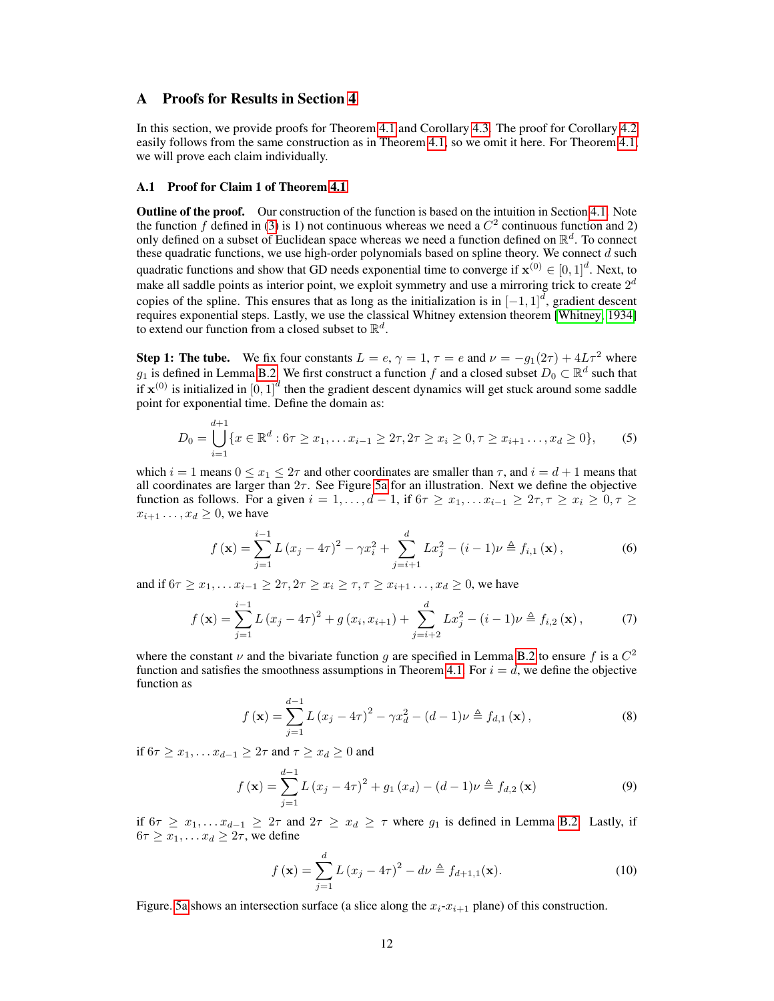# <span id="page-11-5"></span>A Proofs for Results in Section [4](#page-5-0)

In this section, we provide proofs for Theorem [4.1](#page-5-1) and Corollary [4.3.](#page-5-3) The proof for Corollary [4.2](#page-5-4) easily follows from the same construction as in Theorem [4.1,](#page-5-1) so we omit it here. For Theorem [4.1,](#page-5-1) we will prove each claim individually.

#### A.1 Proof for Claim 1 of Theorem [4.1](#page-5-1)

**Outline of the proof.** Our construction of the function is based on the intuition in Section [4.1.](#page-5-2) Note the function f defined in [\(3\)](#page-6-0) is 1) not continuous whereas we need a  $C<sup>2</sup>$  continuous function and 2) only defined on a subset of Euclidean space whereas we need a function defined on  $\mathbb{R}^d$ . To connect these quadratic functions, we use high-order polynomials based on spline theory. We connect  $d$  such quadratic functions and show that GD needs exponential time to converge if  $\mathbf{x}^{(0)} \in [0,1]^d$ . Next, to make all saddle points as interior point, we exploit symmetry and use a mirroring trick to create  $2^d$ copies of the spline. This ensures that as long as the initialization is in  $[-1,1]^d$ , gradient descent requires exponential steps. Lastly, we use the classical Whitney extension theorem [\[Whitney, 1934\]](#page-10-6) to extend our function from a closed subset to  $\mathbb{R}^d$ .

**Step 1: The tube.** We fix four constants  $L = e$ ,  $\gamma = 1$ ,  $\tau = e$  and  $\nu = -g_1(2\tau) + 4L\tau^2$  where  $g_1$  is defined in Lemma [B.2.](#page-17-0) We first construct a function f and a closed subset  $D_0 \subset \mathbb{R}^d$  such that if  $x^{(0)}$  is initialized in  $[0,1]^d$  then the gradient descent dynamics will get stuck around some saddle point for exponential time. Define the domain as:

$$
D_0 = \bigcup_{i=1}^{d+1} \{x \in \mathbb{R}^d : 6\tau \ge x_1, \dots x_{i-1} \ge 2\tau, 2\tau \ge x_i \ge 0, \tau \ge x_{i+1} \dots, x_d \ge 0\},\tag{5}
$$

which  $i = 1$  means  $0 \le x_1 \le 2\tau$  and other coordinates are smaller than  $\tau$ , and  $i = d + 1$  means that all coordinates are larger than  $2\tau$ . See Figure [5a](#page-12-0) for an illustration. Next we define the objective function as follows. For a given  $i = 1, \ldots, d - 1$ , if  $6\tau \ge x_1, \ldots x_{i-1} \ge 2\tau, \tau \ge x_i \ge 0, \tau \ge 0$  $x_{i+1} \ldots, x_d \geq 0$ , we have

<span id="page-11-1"></span><span id="page-11-0"></span>
$$
f(\mathbf{x}) = \sum_{j=1}^{i-1} L (x_j - 4\tau)^2 - \gamma x_i^2 + \sum_{j=i+1}^d L x_j^2 - (i-1)\nu \triangleq f_{i,1}(\mathbf{x}),
$$
 (6)

and if  $6\tau \ge x_1, \ldots x_{i-1} \ge 2\tau, 2\tau \ge x_i \ge \tau, \tau \ge x_{i+1}, \ldots, x_d \ge 0$ , we have

$$
f(\mathbf{x}) = \sum_{j=1}^{i-1} L(x_j - 4\tau)^2 + g(x_i, x_{i+1}) + \sum_{j=i+2}^{d} Lx_j^2 - (i-1)\nu \triangleq f_{i,2}(\mathbf{x}),
$$
 (7)

where the constant  $\nu$  and the bivariate function g are specified in Lemma [B.2](#page-17-0) to ensure f is a  $C^2$ function and satisfies the smoothness assumptions in Theorem [4.1.](#page-5-1) For  $i = d$ , we define the objective function as

<span id="page-11-3"></span><span id="page-11-2"></span>
$$
f(\mathbf{x}) = \sum_{j=1}^{d-1} L (x_j - 4\tau)^2 - \gamma x_d^2 - (d-1)\nu \triangleq f_{d,1}(\mathbf{x}),
$$
\n(8)

if  $6\tau \ge x_1, \ldots x_{d-1} \ge 2\tau$  and  $\tau \ge x_d \ge 0$  and

$$
f(\mathbf{x}) = \sum_{j=1}^{d-1} L (x_j - 4\tau)^2 + g_1 (x_d) - (d-1)\nu \triangleq f_{d,2} (\mathbf{x})
$$
\n(9)

if  $6\tau \geq x_1, \ldots, x_{d-1} \geq 2\tau$  and  $2\tau \geq x_d \geq \tau$  where  $g_1$  is defined in Lemma [B.2.](#page-17-0) Lastly, if  $6\tau \geq x_1, \ldots, x_d \geq 2\tau$ , we define

<span id="page-11-4"></span>
$$
f(\mathbf{x}) = \sum_{j=1}^{d} L (x_j - 4\tau)^2 - d\nu \triangleq f_{d+1,1}(\mathbf{x}).
$$
\n(10)

Figure. [5a](#page-12-0) shows an intersection surface (a slice along the  $x_i-x_{i+1}$  plane) of this construction.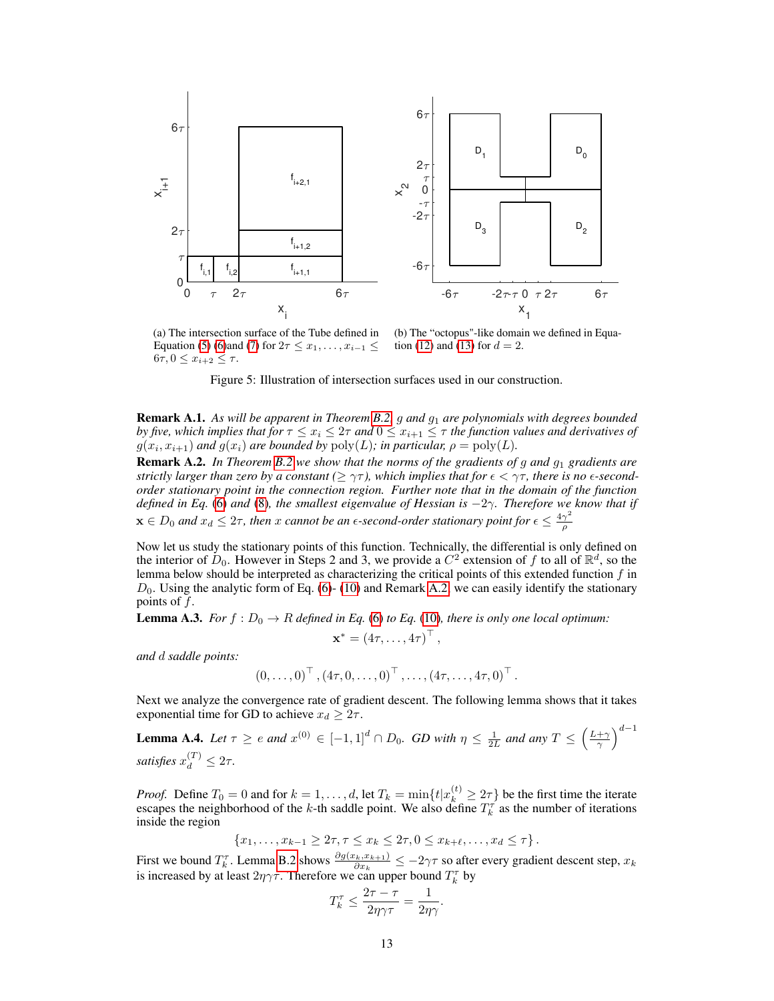<span id="page-12-0"></span>

(a) The intersection surface of the Tube defined in Equation [\(5\)](#page-11-0) [\(6\)](#page-11-1)and [\(7\)](#page-11-2) for  $2\tau \leq x_1, \ldots, x_{i-1} \leq$  $6\tau, 0 \leq x_{i+2} \leq \tau.$ 

(b) The "octopus"-like domain we defined in Equa-tion [\(12\)](#page-14-2) and [\(13\)](#page-14-3) for  $d = 2$ .

Figure 5: Illustration of intersection surfaces used in our construction.

Remark A.1. *As will be apparent in Theorem [B.2,](#page-17-0)* g *and* g<sup>1</sup> *are polynomials with degrees bounded by five, which implies that for*  $\tau \leq x_i \leq 2\tau$  *and*  $0 \leq x_{i+1} \leq \tau$  *the function values and derivatives of*  $g(x_i, x_{i+1})$  and  $g(x_i)$  are bounded by  $\text{poly}(L)$ ; in particular,  $\rho = \text{poly}(L)$ .

<span id="page-12-1"></span>**Remark A.2.** In Theorem [B.2](#page-17-0) we show that the norms of the gradients of g and  $g_1$  gradients are *strictly larger than zero by a constant* ( $\geq \gamma\tau$ ), which implies that for  $\epsilon < \gamma\tau$ , there is no  $\epsilon$ -second*order stationary point in the connection region. Further note that in the domain of the function defined in Eq.* [\(6\)](#page-11-1) *and* [\(8\)](#page-11-3)*, the smallest eigenvalue of Hessian is* −2γ*. Therefore we know that if*  $\mathbf{x} \in D_0$  and  $x_d \leq 2\tau$ , then x cannot be an  $\epsilon$ -second-order stationary point for  $\epsilon \leq \frac{4\gamma^2}{\rho}$ ρ

Now let us study the stationary points of this function. Technically, the differential is only defined on the interior of  $D_0$ . However in Steps 2 and 3, we provide a  $C^2$  extension of f to all of  $\mathbb{R}^d$ , so the lemma below should be interpreted as characterizing the critical points of this extended function  $f$  in  $D_0$ . Using the analytic form of Eq. [\(6\)](#page-11-1)- [\(10\)](#page-11-4) and Remark [A.2,](#page-12-1) we can easily identify the stationary points of  $f$ .

**Lemma A.3.** *For*  $f : D_0 \to R$  *defined in Eq.* [\(6\)](#page-11-1) *to Eq.* [\(10\)](#page-11-4)*, there is only one local optimum:* 

$$
\mathbf{x}^* = (4\tau, \ldots, 4\tau)^{\top},
$$

*and* d *saddle points:*

$$
(0,\ldots,0)^{\top}, (4\tau,0,\ldots,0)^{\top}, \ldots, (4\tau,\ldots,4\tau,0)^{\top}.
$$

Next we analyze the convergence rate of gradient descent. The following lemma shows that it takes exponential time for GD to achieve  $x_d \geq 2\tau$ .

<span id="page-12-2"></span>**Lemma A.4.** Let 
$$
\tau \ge e
$$
 and  $x^{(0)} \in [-1,1]^d \cap D_0$ . *GD with*  $\eta \le \frac{1}{2L}$  and any  $T \le \left(\frac{L+\gamma}{\gamma}\right)^{d-1}$  satisfies  $x_d^{(T)} \le 2\tau$ .

*Proof.* Define  $T_0 = 0$  and for  $k = 1, ..., d$ , let  $T_k = \min\{t | x_k^{(t)} \geq 2\tau\}$  be the first time the iterate escapes the neighborhood of the k-th saddle point. We also define  $T_k^{\tau}$  as the number of iterations inside the region

$$
\{x_1,\ldots,x_{k-1}\geq 2\tau,\tau\leq x_k\leq 2\tau,0\leq x_{k+\ell},\ldots,x_d\leq \tau\}.
$$

First we bound  $T_k^{\tau}$ . Lemma [B.2](#page-17-0) shows  $\frac{\partial g(x_k, x_{k+1})}{\partial x_k} \le -2\gamma\tau$  so after every gradient descent step,  $x_k$ is increased by at least  $2\eta\gamma\tau$ . Therefore we can upper bound  $T_k^{\tau}$  by

$$
T_k^{\tau} \le \frac{2\tau-\tau}{2\eta\gamma\tau} = \frac{1}{2\eta\gamma}.
$$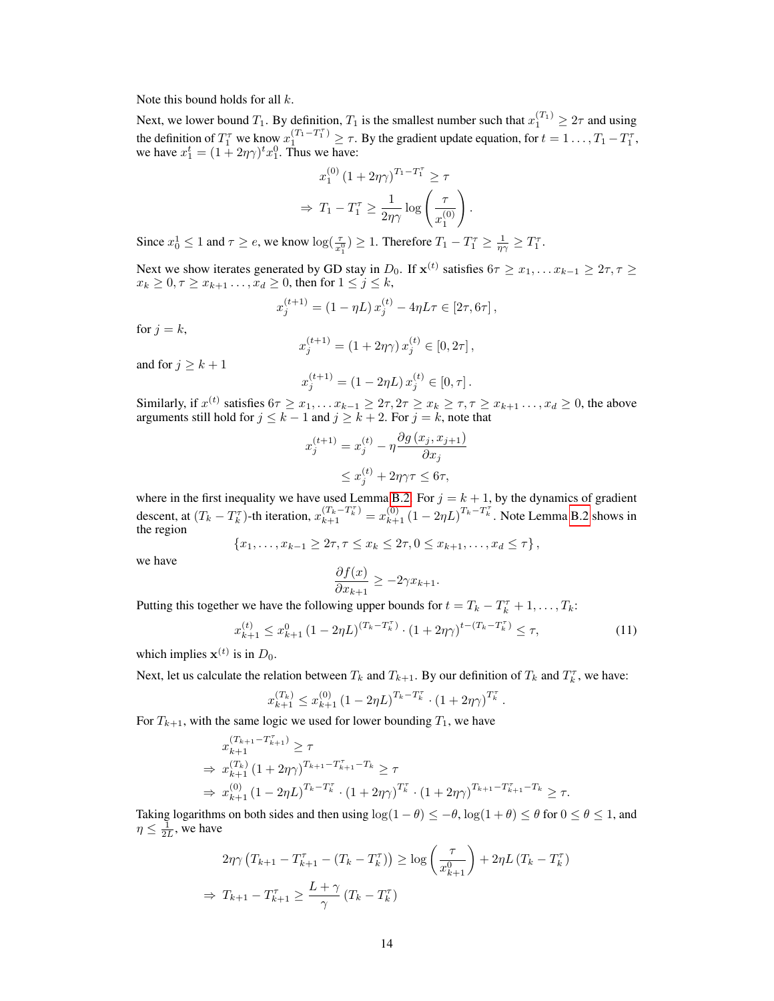Note this bound holds for all  $k$ .

Next, we lower bound  $T_1$ . By definition,  $T_1$  is the smallest number such that  $x_1^{(T_1)} \geq 2\tau$  and using the definition of  $T_1^{\tau}$  we know  $x_1^{(T_1-T_1^{\tau})} \geq \tau$ . By the gradient update equation, for  $t = 1 \ldots, T_1 - T_1^{\tau}$ , we have  $x_1^t = (1 + 2\eta \gamma)^t x_1^0$ . Thus we have:

$$
x_1^{(0)} (1 + 2\eta \gamma)^{T_1 - T_1^{\tau}} \ge \tau
$$

$$
\Rightarrow T_1 - T_1^{\tau} \ge \frac{1}{2\eta \gamma} \log \left(\frac{\tau}{x_1^{(0)}}\right)
$$

.

Since  $x_0^1 \le 1$  and  $\tau \ge e$ , we know  $\log(\frac{\tau}{x_1^0}) \ge 1$ . Therefore  $T_1 - T_1^{\tau} \ge \frac{1}{\eta \gamma} \ge T_1^{\tau}$ .

Next we show iterates generated by GD stay in  $D_0$ . If  $\mathbf{x}^{(t)}$  satisfies  $6\tau \geq x_1, \ldots x_{k-1} \geq 2\tau, \tau \geq 0$  $x_k \geq 0, \tau \geq x_{k+1}, \ldots, x_d \geq 0$ , then for  $1 \leq j \leq k$ ,

$$
x_j^{(t+1)} = (1 - \eta L) x_j^{(t)} - 4\eta L\tau \in [2\tau, 6\tau],
$$

for  $j = k$ ,

$$
x_j^{(t+1)} = (1 + 2\eta\gamma) x_j^{(t)} \in [0, 2\tau],
$$

and for  $j \geq k+1$ 

$$
x_j^{(t+1)} = (1 - 2\eta L) x_j^{(t)} \in [0, \tau].
$$

Similarly, if  $x^{(t)}$  satisfies  $6\tau \ge x_1, \ldots x_{k-1} \ge 2\tau, 2\tau \ge x_k \ge \tau, \tau \ge x_{k+1}, \ldots, x_d \ge 0$ , the above arguments still hold for  $j \leq k - 1$  and  $j \geq k + 2$ . For  $j = k$ , note that

$$
x_j^{(t+1)} = x_j^{(t)} - \eta \frac{\partial g(x_j, x_{j+1})}{\partial x_j}
$$
  

$$
\leq x_j^{(t)} + 2\eta \gamma \tau \leq 6\tau,
$$

where in the first inequality we have used Lemma [B.2.](#page-17-0) For  $j = k + 1$ , by the dynamics of gradient descent, at  $(T_k - T_k^{\tau})$ -th iteration,  $x_{k+1}^{(T_k - T_k^{\tau})} = x_{k+1}^{(0)} (1 - 2\eta L)^{T_k - T_k^{\tau}}$ . Note Lemma [B.2](#page-17-0) shows in the region

$$
\{x_1, \ldots, x_{k-1} \ge 2\tau, \tau \le x_k \le 2\tau, 0 \le x_{k+1}, \ldots, x_d \le \tau\},\
$$

we have

$$
\frac{\partial f(x)}{\partial x_{k+1}} \ge -2\gamma x_{k+1}.
$$

Putting this together we have the following upper bounds for  $t = T_k - T_k^{\tau} + 1, \ldots, T_k$ :

$$
x_{k+1}^{(t)} \le x_{k+1}^0 \left(1 - 2\eta L\right)^{(T_k - T_k^{\tau})} \cdot \left(1 + 2\eta \gamma\right)^{t - (T_k - T_k^{\tau})} \le \tau,\tag{11}
$$

which implies  $\mathbf{x}^{(t)}$  is in  $D_0$ .

Next, let us calculate the relation between  $T_k$  and  $T_{k+1}$ . By our definition of  $T_k$  and  $T_k^{\tau}$ , we have:

$$
x_{k+1}^{(T_k)} \le x_{k+1}^{(0)} (1 - 2\eta L)^{T_k - T_k^{\tau}} \cdot (1 + 2\eta \gamma)^{T_k^{\tau}}.
$$

For  $T_{k+1}$ , with the same logic we used for lower bounding  $T_1$ , we have

$$
x_{k+1}^{(T_{k+1}-T_{k+1}^{\tau})} \geq \tau
$$
  
\n
$$
\Rightarrow x_{k+1}^{(T_k)} (1+2\eta\gamma)^{T_{k+1}-T_{k+1}^{\tau}-T_k} \geq \tau
$$
  
\n
$$
\Rightarrow x_{k+1}^{(0)} (1-2\eta L)^{T_k-T_k^{\tau}} \cdot (1+2\eta\gamma)^{T_k^{\tau}} \cdot (1+2\eta\gamma)^{T_{k+1}-T_{k+1}^{\tau}-T_k} \geq \tau.
$$

Taking logarithms on both sides and then using  $\log(1-\theta) \leq -\theta$ ,  $\log(1+\theta) \leq \theta$  for  $0 \leq \theta \leq 1$ , and  $\eta \leq \frac{1}{2L}$ , we have

$$
2\eta\gamma \left(T_{k+1} - T_{k+1}^{\tau} - (T_k - T_k^{\tau})\right) \ge \log\left(\frac{\tau}{x_{k+1}^0}\right) + 2\eta L \left(T_k - T_k^{\tau}\right)
$$

$$
\Rightarrow T_{k+1} - T_{k+1}^{\tau} \ge \frac{L+\gamma}{\gamma} \left(T_k - T_k^{\tau}\right)
$$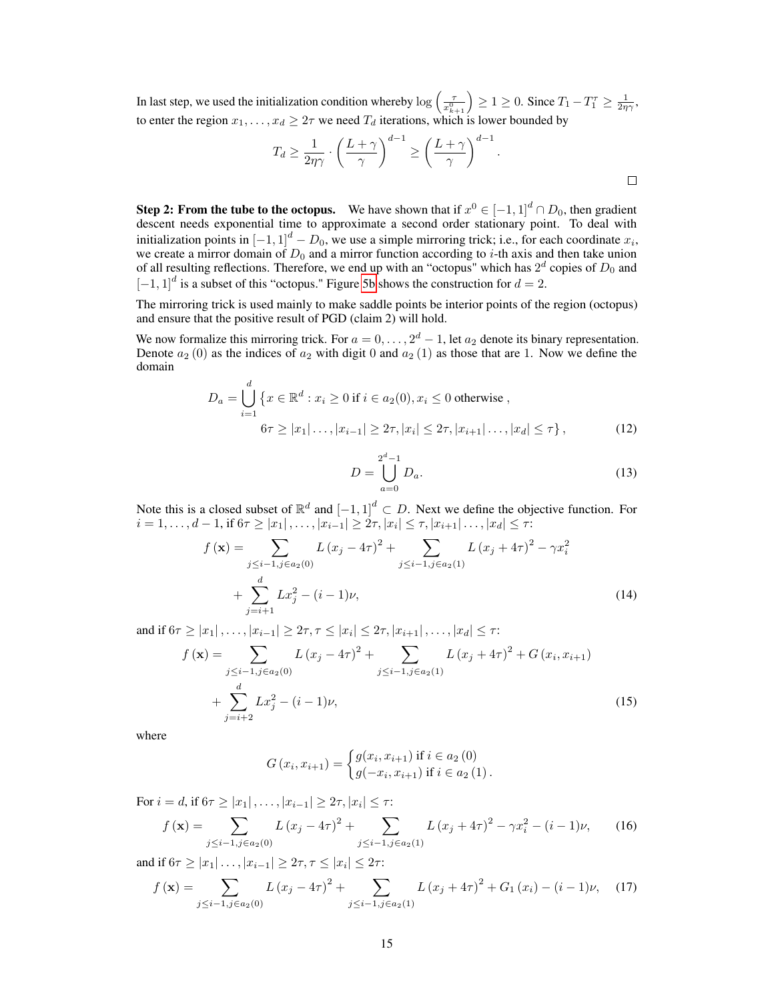In last step, we used the initialization condition whereby  $\log\left(\frac{\tau}{x_{k+1}^0}\right) \ge 1 \ge 0$ . Since  $T_1 - T_1^{\tau} \ge \frac{1}{2\eta\gamma}$ , to enter the region  $x_1, \ldots, x_d \geq 2\tau$  we need  $T_d$  iterations, which is lower bounded by

$$
T_d \ge \frac{1}{2\eta\gamma} \cdot \left(\frac{L+\gamma}{\gamma}\right)^{d-1} \ge \left(\frac{L+\gamma}{\gamma}\right)^{d-1}.
$$

**Step 2: From the tube to the octopus.** We have shown that if  $x^0 \in [-1,1]^d \cap D_0$ , then gradient descent needs exponential time to approximate a second order stationary point. To deal with initialization points in  $\left[-1,1\right]^d - D_0$ , we use a simple mirroring trick; i.e., for each coordinate  $x_i$ , we create a mirror domain of  $D_0$  and a mirror function according to *i*-th axis and then take union of all resulting reflections. Therefore, we end up with an "octopus" which has  $2^d$  copies of  $D_0$  and  $[-1, 1]^d$  is a subset of this "octopus." Figure [5b](#page-12-0) shows the construction for  $d = 2$ .

The mirroring trick is used mainly to make saddle points be interior points of the region (octopus) and ensure that the positive result of PGD (claim 2) will hold.

We now formalize this mirroring trick. For  $a = 0, \ldots, 2^d - 1$ , let  $a_2$  denote its binary representation. Denote  $a_2(0)$  as the indices of  $a_2$  with digit 0 and  $a_2(1)$  as those that are 1. Now we define the domain

$$
D_a = \bigcup_{i=1}^d \{x \in \mathbb{R}^d : x_i \ge 0 \text{ if } i \in a_2(0), x_i \le 0 \text{ otherwise },
$$
  

$$
6\tau \ge |x_1| \dots, |x_{i-1}| \ge 2\tau, |x_i| \le 2\tau, |x_{i+1}| \dots, |x_d| \le \tau \},
$$
 (12)

<span id="page-14-3"></span><span id="page-14-2"></span><span id="page-14-1"></span><span id="page-14-0"></span>
$$
D = \bigcup_{a=0}^{2^d - 1} D_a.
$$
 (13)

Note this is a closed subset of  $\mathbb{R}^d$  and  $[-1,1]^d \subset D$ . Next we define the objective function. For  $i = 1, \ldots, d - 1$ , if  $6\tau \geq |x_1|, \ldots, |x_{i-1}| \geq 2\tau, |x_i| \leq \tau, |x_{i+1}| \ldots, |x_d| \leq \tau$ :

$$
f(\mathbf{x}) = \sum_{\substack{j \leq i-1, j \in a_2(0)}} L(x_j - 4\tau)^2 + \sum_{\substack{j \leq i-1, j \in a_2(1)}} L(x_j + 4\tau)^2 - \gamma x_i^2
$$
  
+ 
$$
\sum_{j=i+1}^d Lx_j^2 - (i-1)\nu,
$$
 (14)

and if  $6\tau \ge |x_1|, \ldots, |x_{i-1}| \ge 2\tau, \tau \le |x_i| \le 2\tau, |x_{i+1}|, \ldots, |x_d| \le \tau$ :

$$
f(\mathbf{x}) = \sum_{j \leq i-1, j \in a_2(0)} L(x_j - 4\tau)^2 + \sum_{j \leq i-1, j \in a_2(1)} L(x_j + 4\tau)^2 + G(x_i, x_{i+1}) + \sum_{j=i+2}^d Lx_j^2 - (i-1)\nu,
$$
\n(15)

where

<span id="page-14-4"></span>
$$
G(x_i, x_{i+1}) = \begin{cases} g(x_i, x_{i+1}) & \text{if } i \in a_2(0) \\ g(-x_i, x_{i+1}) & \text{if } i \in a_2(1) \end{cases}.
$$

For  $i = d$ , if  $6\tau \ge |x_1|, \ldots, |x_{i-1}| \ge 2\tau, |x_i| \le \tau$ :

$$
f(\mathbf{x}) = \sum_{j \leq i-1, j \in a_2(0)} L(x_j - 4\tau)^2 + \sum_{j \leq i-1, j \in a_2(1)} L(x_j + 4\tau)^2 - \gamma x_i^2 - (i - 1)\nu,
$$
 (16)

and if  $6\tau \ge |x_1| \dots, |x_{i-1}| \ge 2\tau, \tau \le |x_i| \le 2\tau$ :

$$
f(\mathbf{x}) = \sum_{j \leq i-1, j \in a_2(0)} L(x_j - 4\tau)^2 + \sum_{j \leq i-1, j \in a_2(1)} L(x_j + 4\tau)^2 + G_1(x_i) - (i-1)\nu, \quad (17)
$$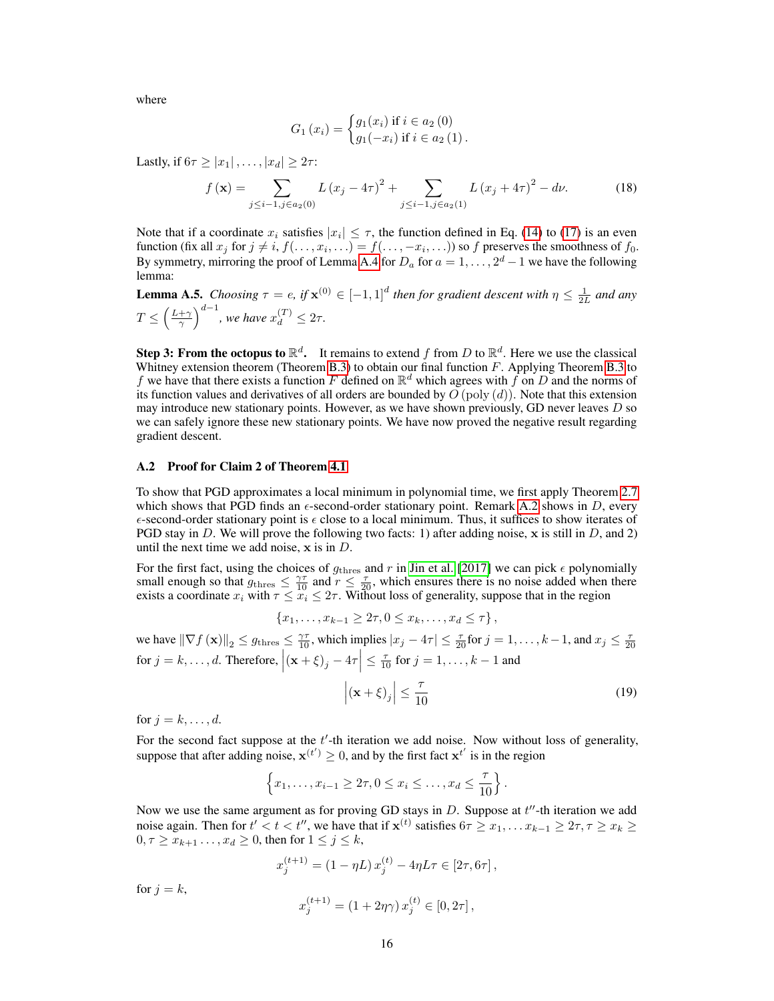where

$$
G_1(x_i) = \begin{cases} g_1(x_i) & \text{if } i \in a_2(0) \\ g_1(-x_i) & \text{if } i \in a_2(1) \end{cases}.
$$

Lastly, if  $6\tau \geq |x_1|, \ldots, |x_d| \geq 2\tau$ :

$$
f(\mathbf{x}) = \sum_{j \leq i-1, j \in a_2(0)} L(x_j - 4\tau)^2 + \sum_{j \leq i-1, j \in a_2(1)} L(x_j + 4\tau)^2 - d\nu.
$$
 (18)

Note that if a coordinate  $x_i$  satisfies  $|x_i| \leq \tau$ , the function defined in Eq. [\(14\)](#page-14-0) to [\(17\)](#page-14-4) is an even function (fix all  $x_j$  for  $j \neq i$ ,  $f(\ldots, x_i, \ldots) = f(\ldots, -x_i, \ldots)$ ) so f preserves the smoothness of  $f_0$ . By symmetry, mirroring the proof of Lemma [A.4](#page-12-2) for  $D_a$  for  $a = 1, \ldots, 2^d - 1$  we have the following lemma:

**Lemma A.5.** *Choosing*  $\tau = e$ , if  $\mathbf{x}^{(0)} \in [-1,1]^d$  then for gradient descent with  $\eta \leq \frac{1}{2L}$  and any  $T \leq \left(\frac{L+\gamma}{\gamma}\right)^{d-1}$ , we have  $x_d^{(T)} \leq 2\tau$ .

**Step 3: From the octopus to**  $\mathbb{R}^d$ **.** It remains to extend f from D to  $\mathbb{R}^d$ . Here we use the classical Whitney extension theorem (Theorem [B.3\)](#page-18-0) to obtain our final function  $F$ . Applying Theorem [B.3](#page-18-0) to f we have that there exists a function F defined on  $\mathbb{R}^d$  which agrees with f on D and the norms of its function values and derivatives of all orders are bounded by  $O$  (poly  $(d)$ ). Note that this extension may introduce new stationary points. However, as we have shown previously, GD never leaves  $D$  so we can safely ignore these new stationary points. We have now proved the negative result regarding gradient descent.

#### A.2 Proof for Claim 2 of Theorem [4.1](#page-5-1)

To show that PGD approximates a local minimum in polynomial time, we first apply Theorem [2.7](#page-3-3) which shows that PGD finds an  $\epsilon$ -second-order stationary point. Remark [A.2](#page-12-1) shows in D, every  $\epsilon$ -second-order stationary point is  $\epsilon$  close to a local minimum. Thus, it suffices to show iterates of PGD stay in D. We will prove the following two facts: 1) after adding noise, x is still in D, and 2) until the next time we add noise,  $x$  is in  $D$ .

For the first fact, using the choices of  $g_{\text{thres}}$  and r in [Jin et al.](#page-9-2) [\[2017\]](#page-9-2) we can pick  $\epsilon$  polynomially small enough so that  $g_{\text{thres}} \leq \frac{\gamma \tau}{10}$  and  $r \leq \frac{\tau}{20}$ , which ensures there is no noise added when there exists a coordinate  $x_i$  with  $\tau \leq x_i \leq 2\tau$ . Without loss of generality, suppose that in the region

$$
\{x_1, \ldots, x_{k-1} \ge 2\tau, 0 \le x_k, \ldots, x_d \le \tau\},\
$$

we have  $\|\nabla f(\mathbf{x})\|_2 \leq g_{\text{thres}} \leq \frac{\gamma\tau}{10}$ , which implies  $|x_j - 4\tau| \leq \frac{\tau}{20}$  for  $j = 1, \ldots, k-1$ , and  $x_j \leq \frac{\tau}{20}$ for  $j = k, \ldots, d$ . Therefore,  $|(x + \xi)_j - 4\tau| \leq \frac{\tau}{10}$  for  $j = 1, \ldots, k - 1$  and

$$
\left| \left( \mathbf{x} + \xi \right)_j \right| \le \frac{\tau}{10} \tag{19}
$$

for  $j = k, \ldots, d$ .

For the second fact suppose at the  $t'$ -th iteration we add noise. Now without loss of generality, suppose that after adding noise,  $\mathbf{x}^{(t')} \geq 0$ , and by the first fact  $\mathbf{x}^{t'}$  is in the region

$$
\left\{x_1,\ldots,x_{i-1}\geq 2\tau, 0\leq x_i\leq \ldots, x_d\leq \frac{\tau}{10}\right\}.
$$

Now we use the same argument as for proving GD stays in  $D$ . Suppose at  $t''$ -th iteration we add noise again. Then for  $t' < t < t''$ , we have that if  $x^{(t)}$  satisfies  $6\tau \ge x_1, \ldots x_{k-1} \ge 2\tau, \tau \ge x_k \ge$  $0, \tau \geq \overline{x}_{k+1}, \ldots, x_d \geq 0$ , then for  $1 \leq j \leq k$ ,

$$
x_j^{(t+1)} = (1 - \eta L) x_j^{(t)} - 4\eta L\tau \in [2\tau, 6\tau],
$$

for  $j = k$ ,

$$
x_j^{(t+1)} = (1 + 2\eta\gamma) x_j^{(t)} \in [0, 2\tau],
$$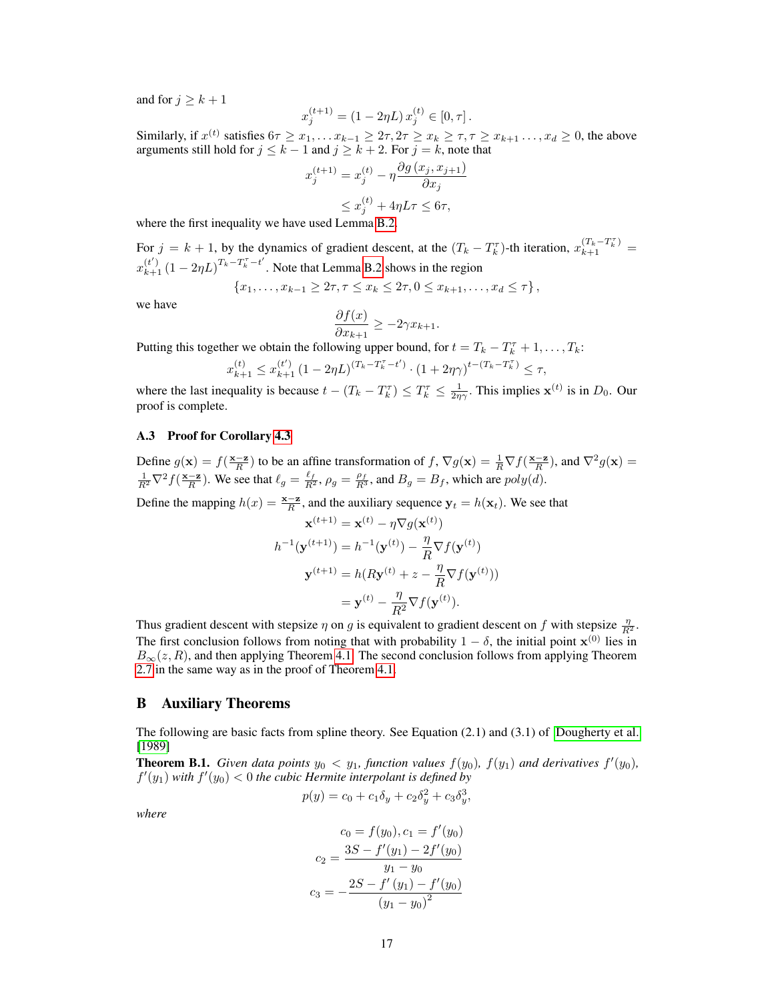and for  $j > k + 1$ 

$$
x_j^{(t+1)} = (1 - 2\eta L) x_j^{(t)} \in [0, \tau].
$$

Similarly, if  $x^{(t)}$  satisfies  $6\tau \ge x_1, \ldots x_{k-1} \ge 2\tau, 2\tau \ge x_k \ge \tau, \tau \ge x_{k+1}, \ldots, x_d \ge 0$ , the above arguments still hold for  $j \leq k - 1$  and  $j \geq k + 2$ . For  $j = k$ , note that

$$
x_j^{(t+1)} = x_j^{(t)} - \eta \frac{\partial g(x_j, x_{j+1})}{\partial x_j}
$$
  

$$
\leq x_j^{(t)} + 4\eta L\tau \leq 6\tau,
$$

where the first inequality we have used Lemma [B.2.](#page-17-0)

For  $j = k + 1$ , by the dynamics of gradient descent, at the  $(T_k - T_k^{\tau})$ -th iteration,  $x_{k+1}^{(T_k - T_k^{\tau})}$  $x_{k+1}^{(t')}$   $(1 - 2\eta L)^{T_k - T_k^{\tau} - t'}$ . Note that Lemma [B.2](#page-17-0) shows in the region

$$
\{x_1, \ldots, x_{k-1} \ge 2\tau, \tau \le x_k \le 2\tau, 0 \le x_{k+1}, \ldots, x_d \le \tau\},\
$$

we have

$$
\frac{\partial f(x)}{\partial x_{k+1}} \ge -2\gamma x_{k+1}.
$$

Putting this together we obtain the following upper bound, for  $t = T_k - T_k^{\tau} + 1, \ldots, T_k$ :

$$
x_{k+1}^{(t)} \leq x_{k+1}^{(t')} \left(1-2\eta L \right)^{(T_k-T_k^\tau-t')} \cdot \left(1+2\eta \gamma \right)^{t-(T_k-T_k^\tau)} \leq \tau,
$$

where the last inequality is because  $t - (T_k - T_k^{\tau}) \le T_k^{\tau} \le \frac{1}{2\eta\gamma}$ . This implies  $\mathbf{x}^{(t)}$  is in  $D_0$ . Our proof is complete.

## A.3 Proof for Corollary [4.3](#page-5-3)

Define  $g(\mathbf{x}) = f(\frac{\mathbf{x} - \mathbf{z}}{R})$  to be an affine transformation of  $f$ ,  $\nabla g(\mathbf{x}) = \frac{1}{R} \nabla f(\frac{\mathbf{x} - \mathbf{z}}{R})$ , and  $\nabla^2 g(\mathbf{x}) =$  $\frac{1}{R^2}\nabla^2 f(\frac{\mathbf{x}-\mathbf{z}}{R})$ . We see that  $\ell_g = \frac{\ell_f}{R^2}$ ,  $\rho_g = \frac{\rho_f}{R^3}$ , and  $B_g = B_f$ , which are  $poly(d)$ .

Define the mapping  $h(x) = \frac{\mathbf{x} - \mathbf{z}}{R}$ , and the auxiliary sequence  $\mathbf{y}_t = h(\mathbf{x}_t)$ . We see that

$$
\mathbf{x}^{(t+1)} = \mathbf{x}^{(t)} - \eta \nabla g(\mathbf{x}^{(t)})
$$

$$
h^{-1}(\mathbf{y}^{(t+1)}) = h^{-1}(\mathbf{y}^{(t)}) - \frac{\eta}{R} \nabla f(\mathbf{y}^{(t)})
$$

$$
\mathbf{y}^{(t+1)} = h(R\mathbf{y}^{(t)} + z - \frac{\eta}{R} \nabla f(\mathbf{y}^{(t)}))
$$

$$
= \mathbf{y}^{(t)} - \frac{\eta}{R^2} \nabla f(\mathbf{y}^{(t)}).
$$

Thus gradient descent with stepsize  $\eta$  on g is equivalent to gradient descent on f with stepsize  $\frac{\eta}{R^2}$ . The first conclusion follows from noting that with probability  $1 - \delta$ , the initial point  $\mathbf{x}^{(0)}$  lies in  $B_{\infty}(z, R)$ , and then applying Theorem [4.1.](#page-5-1) The second conclusion follows from applying Theorem [2.7](#page-3-3) in the same way as in the proof of Theorem [4.1.](#page-5-1)

#### <span id="page-16-0"></span>B Auxiliary Theorems

The following are basic facts from spline theory. See Equation (2.1) and (3.1) of [Dougherty et al.](#page-9-18) [\[1989\]](#page-9-18)

<span id="page-16-1"></span>**Theorem B.1.** *Given data points*  $y_0 < y_1$ *, function values*  $f(y_0)$ *,*  $f(y_1)$  *and derivatives*  $f'(y_0)$ *,*  $f'(y_1)$  with  $f'(y_0) < 0$  the cubic Hermite interpolant is defined by

$$
p(y) = c_0 + c_1 \delta_y + c_2 \delta_y^2 + c_3 \delta_y^3
$$

,

*where*

$$
c_0 = f(y_0), c_1 = f'(y_0)
$$

$$
c_2 = \frac{3S - f'(y_1) - 2f'(y_0)}{y_1 - y_0}
$$

$$
c_3 = -\frac{2S - f'(y_1) - f'(y_0)}{(y_1 - y_0)^2}
$$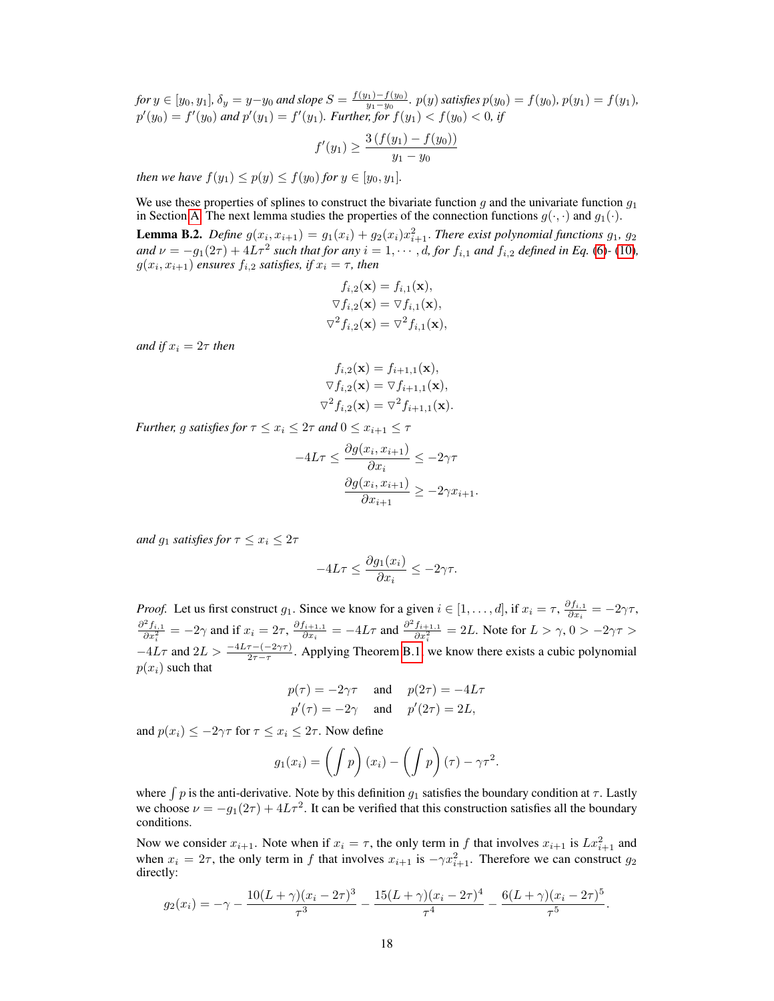*for*  $y \in [y_0, y_1]$ ,  $\delta_y = y - y_0$  *and slope*  $S = \frac{f(y_1) - f(y_0)}{y_1 - y_0}$ y1−y<sup>0</sup> *.* p(y)*satisfies* p(y0) = f(y0)*,* p(y1) = f(y1)*,*  $p'(y_0) = f'(y_0)$  and  $p'(y_1) = f'(y_1)$ . Further, for  $f(y_1) < f(y_0) < 0$ , if

$$
f'(y_1) \ge \frac{3(f(y_1) - f(y_0))}{y_1 - y_0}
$$

*then we have*  $f(y_1) \leq p(y) \leq f(y_0)$  *for*  $y \in [y_0, y_1]$ *.* 

We use these properties of splines to construct the bivariate function g and the univariate function  $g_1$ in Section [A.](#page-11-5) The next lemma studies the properties of the connection functions  $g(\cdot, \cdot)$  and  $g_1(\cdot)$ .

<span id="page-17-0"></span>**Lemma B.2.** Define  $g(x_i, x_{i+1}) = g_1(x_i) + g_2(x_i)x_{i+1}^2$ . There exist polynomial functions  $g_1, g_2$ *and*  $\nu = -g_1(2\tau) + 4L\tau^2$  *such that for any*  $i = 1, \cdots, d$ , *for*  $f_{i,1}$  *and*  $f_{i,2}$  *defined in Eq.* [\(6\)](#page-11-1)-[\(10\)](#page-11-4)*,*  $g(x_i, x_{i+1})$  ensures  $f_{i,2}$  satisfies, if  $x_i = \tau$ , then

$$
f_{i,2}(\mathbf{x}) = f_{i,1}(\mathbf{x}),
$$
  
\n
$$
\nabla f_{i,2}(\mathbf{x}) = \nabla f_{i,1}(\mathbf{x}),
$$
  
\n
$$
\nabla^2 f_{i,2}(\mathbf{x}) = \nabla^2 f_{i,1}(\mathbf{x}),
$$

*and if*  $x_i = 2\tau$  *then* 

$$
f_{i,2}(\mathbf{x}) = f_{i+1,1}(\mathbf{x}),
$$
  
\n
$$
\nabla f_{i,2}(\mathbf{x}) = \nabla f_{i+1,1}(\mathbf{x}),
$$
  
\n
$$
\nabla^2 f_{i,2}(\mathbf{x}) = \nabla^2 f_{i+1,1}(\mathbf{x}).
$$

*Further, g satisfies for*  $\tau \leq x_i \leq 2\tau$  *and*  $0 \leq x_{i+1} \leq \tau$ 

$$
-4L\tau \le \frac{\partial g(x_i, x_{i+1})}{\partial x_i} \le -2\gamma\tau
$$

$$
\frac{\partial g(x_i, x_{i+1})}{\partial x_{i+1}} \ge -2\gamma x_{i+1}.
$$

*and*  $g_1$  *satisfies for*  $\tau \leq x_i \leq 2\tau$ 

$$
-4L\tau \le \frac{\partial g_1(x_i)}{\partial x_i} \le -2\gamma\tau.
$$

*Proof.* Let us first construct  $g_1$ . Since we know for a given  $i \in [1, \ldots, d]$ , if  $x_i = \tau$ ,  $\frac{\partial f_{i,1}}{\partial x_i}$  $\frac{\partial J_{i,1}}{\partial x_i} = -2\gamma\tau,$  $\frac{\partial^2 f_{i,1}}{\partial x_i^2} = -2\gamma$  and if  $x_i = 2\tau$ ,  $\frac{\partial f_{i+1,1}}{\partial x_i}$  $\frac{f_{i+1,1}}{\partial x_i} = -4L\tau$  and  $\frac{\partial^2 f_{i+1,1}}{\partial x_i^2} = 2L$ . Note for  $L > \gamma$ ,  $0 > -2\gamma\tau > 0$  $-4L\tau$  and  $2L > \frac{-4L\tau - (-2\gamma\tau)}{2\tau - \tau}$ . Applying Theorem [B.1,](#page-16-1) we know there exists a cubic polynomial  $p(x_i)$  such that

$$
p(\tau) = -2\gamma\tau
$$
 and  $p(2\tau) = -4L\tau$   
\n $p'(\tau) = -2\gamma$  and  $p'(2\tau) = 2L$ ,

and  $p(x_i) \le -2\gamma\tau$  for  $\tau \le x_i \le 2\tau$ . Now define

$$
g_1(x_i) = \left(\int p\right)(x_i) - \left(\int p\right)(\tau) - \gamma \tau^2.
$$

where  $\int p$  is the anti-derivative. Note by this definition  $g_1$  satisfies the boundary condition at  $\tau$ . Lastly we choose  $\nu = -g_1(2\tau) + 4L\tau^2$ . It can be verified that this construction satisfies all the boundary conditions.

Now we consider  $x_{i+1}$ . Note when if  $x_i = \tau$ , the only term in f that involves  $x_{i+1}$  is  $Lx_{i+1}^2$  and when  $x_i = 2\tau$ , the only term in f that involves  $x_{i+1}$  is  $-\gamma x_{i+1}^2$ . Therefore we can construct  $g_2$ directly:

$$
g_2(x_i) = -\gamma - \frac{10(L+\gamma)(x_i - 2\tau)^3}{\tau^3} - \frac{15(L+\gamma)(x_i - 2\tau)^4}{\tau^4} - \frac{6(L+\gamma)(x_i - 2\tau)^5}{\tau^5}.
$$